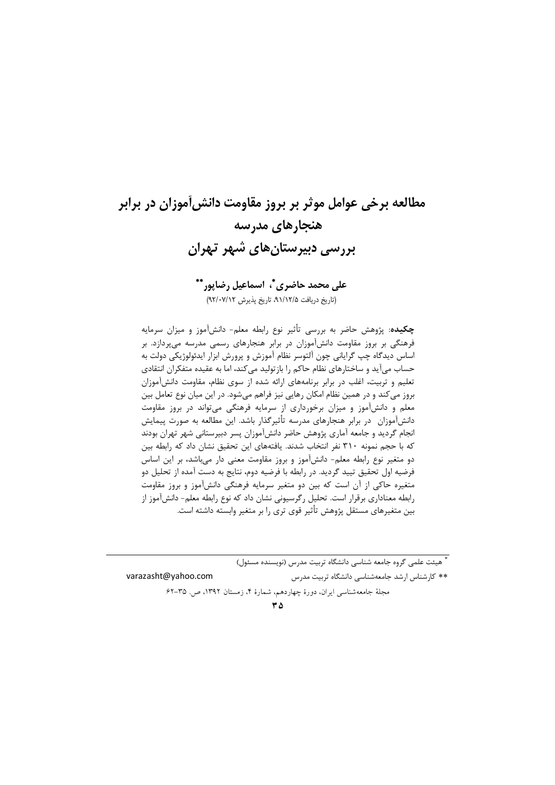# مطالعه برخي عوامل موثر بر بروز مقاومت دانش[موزان در برابر هنجارهای مدرسه پررسی دبیرستان های شهر تهران

# على محمد حاضري \*، اسماعيل رضايور\*\* (تاریخ دریافت ۹۱/۱۲/۵، تاریخ پذیرش ۹۲/۰۷/۱۲)

**چکیده**: پژوهش حاضر به بررسی تأثیر نوع رابطه معلم- دانشآموز و میزان سرمایه فرهنگی بر بروز مقاومت دانشآموزان در برابر هنجارهای رسمی مدرسه میپردازد. بر اساس دیدگاه چپ گرایانی چون آلتوسر نظام آموزش و پرورش ابزار ایدئولوژیکی دولت به حساب میآید و ساختارهای نظام حاکم را بازتولید می کند، اما به عقیده متفکران انتقادی تعلیم و تربیت، اغلب در برابر برنامههای ارائه شده از سوی نظام، مقاومت دانشآموزان بروز می کند و در همین نظام امکان رهایی نیز فراهم میشود. در این میان نوع تعامل بین معلم و دانشآموز و میزان برخورداری از سرمایه فرهنگی میتواند در بروز مقاومت دانشآموزان ِ در برابر هنجارهای مدرسه تأثیرگذار باشد. این مطالعه به صورت پیمایش انجام گردید و جامعه آماری پژوهش حاضر دانشآموزان پسر دبیرستانی شهر تهران بودند که با حجم نمونه ۳۱۰ نفر انتخاب شدند. یافتههای این تحقیق نشان داد که رابطه بین دو متغیر نوع رابطه معلم- دانشآموز و بروز مقاومت معنی دار میباشد، بر این اساس فرضیه اول تحقیق تیید گردید. در رابطه با فرضیه دوم، نتایج به دست آمده از تحلیل دو متغیره حاکی از آن است که بین دو متغیر سرمایه فرهنگی دانشآموز و بروز مقاومت رابطه معناداری برقرار است. تحلیل رگرسیونی نشان داد که نوع رابطه معلم- دانش[موز از بین متغیرهای مستقل پژوهش تأثیر قوی تری را بر متغیر وابسته داشته است.

\* هیئت علمی گروه جامعه شناسی دانشگاه تربیت مدرس (نویسنده مسئول) varazasht@yahoo.com \*\* کارشناس ارشد جامعهشناسی دانشگاه تربیت مدرس مجلة جامعه شناسي ايران، دورة چهاردهم، شمارة ۴، زمستان ۱۳۹۲، ص. ۳۵-۶۲

 $\mathbf{r}$   $\Delta$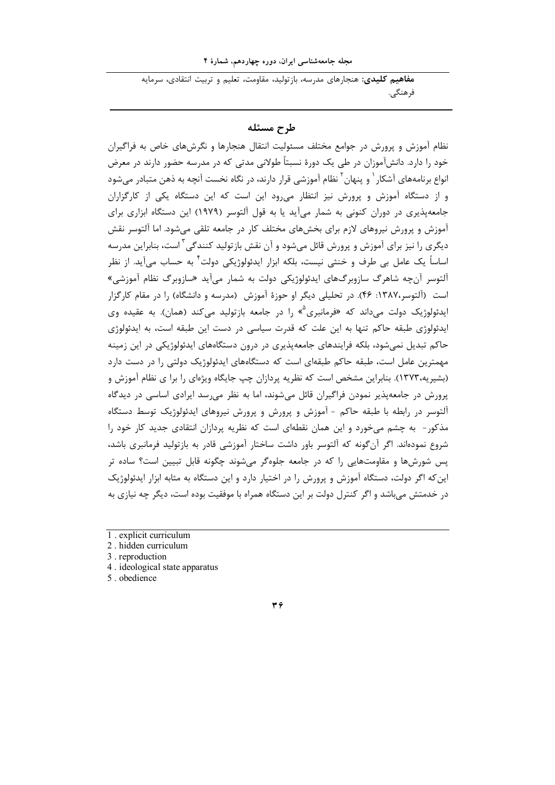مجله جامعهشناسی ایران، دوره چهاردهم، شمارهٔ ۴

<mark>مفاهیم کلیدی:</mark> هنجارهای مدرسه، بازتولید، مقاومت، تعلیم و تربیت انتقادی، سرمایه فر هنگي.

## طرح مسئله

نظام آموزش و پرورش در جوامع مختلف مسئولیت انتقال هنجارها و نگرشهای خاص به فراگیران خود را دارد. دانشآموزان در طی یک دورهٔ نسبتاً طولانی مدتی که در مدرسه حضور دارند در معرض انواع برنامههای آشکار <sup>۱</sup> و پنهان<sup>۲</sup> نظام آموزشی قرار دارند، در نگاه نخست آنچه به ذهن متبادر می شود و از دستگاه آموزش و پرورش نیز انتظار می رود این است که این دستگاه یکی از کارگزاران جامعهپذیری در دوران کنونی به شمار میآید یا به قول آلتوسر (۱۹۷۹) این دستگاه ابزاری برای آموزش و پرورش نیروهای لازم برای بخشهای مختلف کار در جامعه تلقی میشود. اما آلتوسر نقش دیگری را نیز برای آموزش و پرورش قائل میشود و آن نقش بازتولید کنندگی<sup>۳</sup> است، بنابراین مدرسه اساساً یک عامل بی طرف و خنثی نیست، بلکه ابزار ایدئولوژیکی دولت ٔ به حساب میآید. از نظر آلتوسر آن چه شاهرگ سازوبرگ@ای ایدئولوژیکی دولت به شمار میآید «سازوبرگ نظام آموزشی» است (آلتوسر،۱۳۸۷: ۴۶). در تحلیلی دیگر او حوزهٔ آموزش (مدرسه و دانشگاه) را در مقام کارگزار ایدئولوژیک دولت می داند که «فرمانبری<sup>4</sup>» را در جامعه بازتولید می *ک*ند (همان). به عقیده وی ایدئولوژی طبقه حاکم تنها به این علت که قدرت سیاسی در دست این طبقه است، به ایدئولوژی حاکم تبدیل نمی شود، بلکه فرایندهای جامعهپذیری در درون دستگاههای ایدئولوژیکی در این زمینه مهمترین عامل است، طبقه حاکم طبقهای است که دستگاههای ایدئولوژیک دولتی را در دست دارد (بشیریه،۱۳۷۳). بنابراین مشخص است که نظریه پردازان چپ جایگاه ویژهای را برا ی نظام آموزش و پرورش در جامعهپذیر نمودن فراگیران قائل میشوند، اما به نظر می رسد ایرادی اساسی در دیدگاه آلتوسر در رابطه با طبقه حاکم - آموزش و پرورش و پرورش نیروهای ایدئولوژیک توسط دستگاه مذکور- به چشم میخورد و این همان نقطهای است که نظریه پردازان انتقادی جدید کار خود را شروع نمودهاند. اگر آنگونه که آلتوسر باور داشت ساختار آموزشی قادر به بازتولید فرمانبری باشد، پس شورشها و مقاومتهایی را که در جامعه جلوهگر میشوند چگونه قابل تبیین است؟ ساده تر این که اگر دولت، دستگاه آموزش و پرورش را در اختیار دارد و این دستگاه به مثابه ابزار ایدئولوژیک در خدمتش می باشد و اگر کنترل دولت بر این دستگاه همراه با موفقیت بوده است، دیگر چه نیازی به

2. hidden curriculum

3. reproduction

4. ideological state apparatus

5 obedience

 $\forall$ 

<sup>1.</sup> explicit curriculum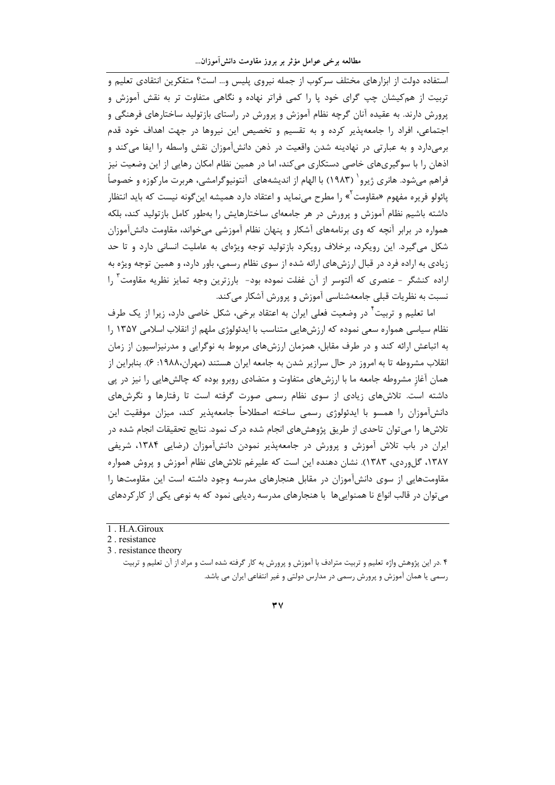استفاده دولت از ابزارهای مختلف سرکوب از جمله نیروی پلیس و… است؟ متفکرین انتقادی تعلیم و تربیت از هم کیشان چپ گرای خود یا را کمی فراتر نهاده و نگاهی متفاوت تر به نقش آموزش و پرورش دارند. به عقیده آنان گرچه نظام آموزش و پرورش در راستای بازتولید ساختارهای فرهنگی و اجتماعی، افراد را جامعهپذیر کرده و به تقسیم و تخصیص این نیروها در جهت اهداف خود قدم برمیدارد و به عبارتی در نهادینه شدن واقعیت در ذهن دانشآموزان نقش واسطه را ایفا می کند و اذهان ٫ا با سوگیریهای خاصی دستکاری می کند، اما در همین نظام امکان ٫هایی از این وضعیت نیز فراهم می شود. هانری ژیرو` (۱۹۸۳) با الهام از اندیشههای آنتونیوگرامشی، هربرت مارکوزه و خصوصاً پائولو فریره مفهوم «مقاومت<sup>"</sup>» را مطرح مینماید و اعتقاد دارد همیشه اینگونه نیست که باید انتظار داشته باشیم نظام آموزش و پرورش در هر جامعهای ساختارهایش را بهطور کامل بازتولید کند، بلکه همواره در برابر آنچه که وی برنامههای آشکار و پنهان نظام آموزشی میخواند، مقاومت دانشآموزان شکل میگیرد. این رویکرد، برخلاف رویکرد بازتولید توجه ویژهای به عاملیت انسانی دارد و تا حد زیادی به اراده فرد در قبال ارزشهای ارائه شده از سوی نظام رسمی، باور دارد، و همین توجه ویژه به اراده كنشگر - عنصري كه آلتوسر از آن غفلت نموده بود- بارزترين وجه تمايز نظريه مقاومت ّ را نسبت به نظریات قبلی جامعهشناسی آموزش و پرورش آشکار می کند.

اما تعلیم و تربیت<sup>۴</sup> در وضعیت فعلی ایران به اعتقاد برخی، شکل خاصی دارد، زیرا از یک طرف نظام سیاسی همواره سعی نموده که ارزشهایی متناسب با ایدئولوژی ملهم از انقلاب اسلامی ۱۳۵۷ را به اتباعش ارائه کند و در طرف مقابل، همزمان ارزشهای مربوط به نوگرایی و مدرنیزاسیون از زمان انقلاب مشروطه تا به امروز در حال سرازیر شدن به جامعه ایران هستند (مهران،۱۹۸۸: ۶). بنابراین از همان آغاز مشروطه جامعه ما با ارزشهای متفاوت و متضادی روبرو بوده که چالشهایی را نیز در پی داشته است. تلاشهای زیادی از سوی نظام رسمی صورت گرفته است تا رفتارها و نگرشهای دانشآموزان را همسو با ایدئولوژی رسمی ساخته اصطلاحاً جامعهپذیر کند، میزان موفقیت این تلاشها را می توان تاحدی از طریق پژوهشهای انجام شده درک نمود. نتایج تحقیقات انجام شده در ایران در باب تلاش آموزش و پرورش در جامعهپذیر نمودن دانشآموزان (رضایی ۱۳۸۴، شریفی ۱۳۸۷، گلوردی، ۱۳۸۳). نشان دهنده این است که علیرغم تلاشهای نظام آموزش و پروش همواره مقاومتهایی از سوی دانشآموزان در مقابل هنجارهای مدرسه وجود داشته است این مقاومتها را می توان در قالب انواع نا همنوایی ها با هنجارهای مدرسه ردیابی نمود که به نوعی یکی از کار کردهای

<sup>1.</sup> H.A. Giroux

<sup>2.</sup> resistance

<sup>3.</sup> resistance theory

۴ .در این پژوهش واژه تعلیم و تربیت مترادف با آموزش و پرورش به کار گرفته شده است و مراد از آن تعلیم و تربیت رسمی یا همان آموزش و پرورش رسمی در مدارس دولتی و غیر انتفاعی ایران می باشد.

 $\forall$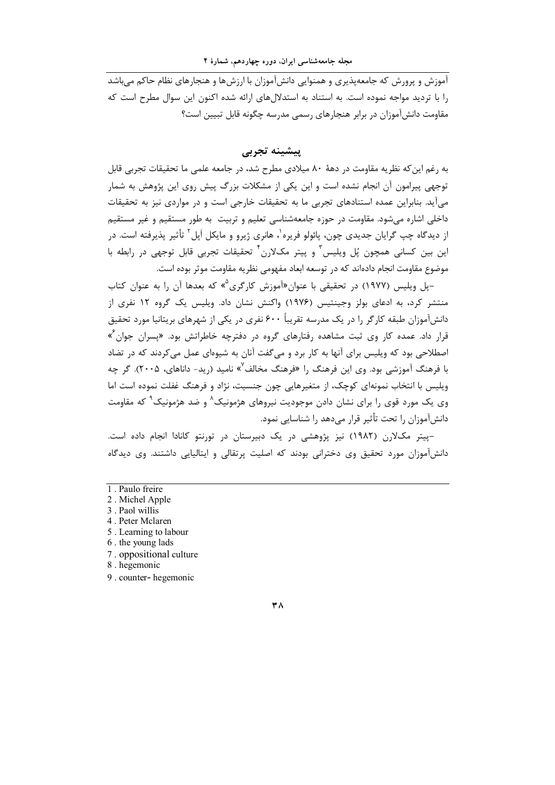آموزش و پرورش که جامعهپذیری و همنوایی دانشآموزان با ارزشها و هنجارهای نظام حاکم می باشد ۱٫ با تردید مواجه نموده است. به استناد به استدلال های ارائه شده اکنون این سوال مطرح است که مقاومت دانش آموزان در برابر هنجارهای رسمی مدرسه چگونه قابل تبیین است؟

# پیشینه تجربی

به رغم این که نظریه مقاومت در دههٔ ۸۰ میلادی مطرح شد، در جامعه علمی ما تحقیقات تجربی قابل توجهی پیرامون آن انجام نشده است و این یکی از مشکلات بزرگ پیش روی این پژوهش به شمار میآید. بنابراین عمده استنادهای تجربی ما به تحقیقات خارجی است و در مواردی نیز به تحقیقات داخلي اشاره مي شود. مقاومت در حوزه جامعهشناسي تعليم و تربيت به طور مستقيم و غير مستقيم از دیدگاه چپ گرایان جدیدی چون، پائولو فریره<sup>۱</sup>، هانری ژیرو و مایکل اَپل<sup>۲</sup> تأثیر پذیرفته است. در این بین کسانی همچون پُل ویلیس ؓ و پیتر مکلارن ؓ تحقیقات تجربی قابل توجهی در رابطه با موضوع مقاومت انجام دادهاند که در توسعه ابعاد مفهومی نظریه مقاومت موثر بوده است.

یل ویلیس (۱۹۷۷) در تحقیقی با عنوان«آموزش کارگری<sup>۵</sup>» که بعدها آن را به عنوان کتاب $-$ منتشر کرد، به ادعای بولز وجینتیس (۱۹۷۶) واکنش نشان داد. ویلیس یک گروه ۱۲ نفری از دانش]موزان طبقه کارگر را در یک مدرسه تقریباً ۶۰۰ نفری در یکی از شهرهای بریتانیا مورد تحقیق قرار داد. عمده کار وی ثبت مشاهده رفتارهای گروه در دفترچه خاطراتش بود. «پسران جوان<sup>۶</sup>» اصطلاحی بود که ویلیس برای آنها به کار برد و مرگفت آنان به شیوهای عمل می کردند که در تضاد با فرهنگ آموزشی بود. وی این فرهنگ را «فرهنگ مخالف<sup>۷</sup>» نامید (رید- داناهای، ۲۰۰۵). گر چه ویلیس با انتخاب نمونهای کوچک، از متغیرهایی چون جنسیت، نژاد و فرهنگ غفلت نموده است اما وی یک مورد قوی را برای نشان دادن موجودیت نیروهای هژمونیک^ و ضد هژمونیک<sup>۹</sup> که مقاومت دانشآموزان را تحت تأثیر قرار میدهد را شناسایی نمود.

-پیتر مکلارن (۱۹۸۲) نیز پژوهشی در یک دبیرستان در تورنتو کانادا انجام داده است. دانشآموزان مورد تحقیق وی دخترانی بودند که اصلیت پرتقالی و ایتالیایی داشتند. وی دیدگاه

- 1. Paulo freire
- 2. Michel Apple
- 3. Paol willis
- 4. Peter Mclaren
- 5. Learning to labour
- 6. the young lads
- 7. oppositional culture
- 8. hegemonic
- 9. counter-hegemonic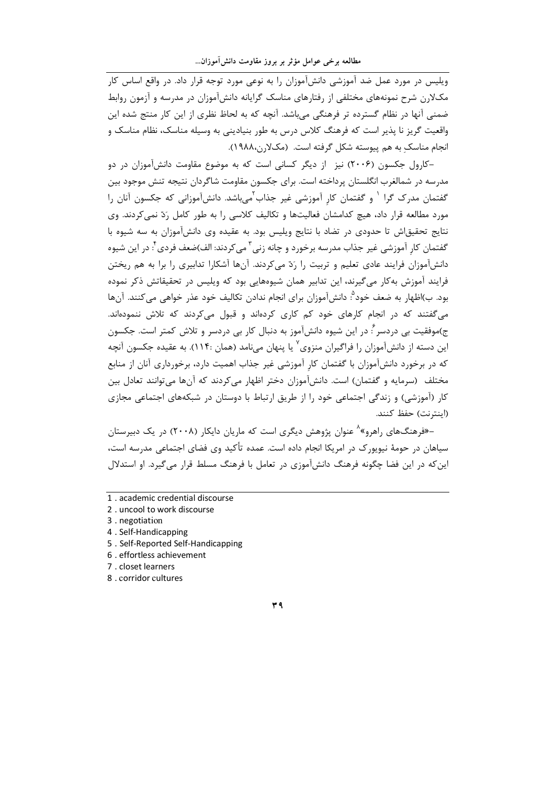ویلیس در مورد عمل ضد آموزشی دانش آموزان را به نوعی مورد توجه قرار داد. در واقع اساس کار مکلارن شرح نمونههای مختلفی از رفتارهای مناسک گرایانه دانشآموزان در مدرسه و آزمون روابط ضمنی آنها در نظام گسترده تر فرهنگی می باشد. آنچه که به لحاظ نظری از این کار منتج شده این واقعیت گریز نا پذیر است که فرهنگ کلاس درس به طور بنیادینی به وسیله مناسک، نظام مناسک و انجام مناسک به هم پیوسته شکل گرفته است. (مکلارن،۱۹۸۸).

-کا, وا ، جکسون (۲۰۰۶) نیز از دیگر کسانی است که به موضوع مقاومت دانشآموزان در دو مدرسه در شمالغرب انگلستان پرداخته است. برای جکسون مقاومت شاگردان نتیجه تنش موجود بین گفتمان مدرک گرا <sup>۱</sup> و گفتمان کار آموزشی غیر جذاب<sup>۲</sup>می<sub>ا</sub>شد. دانشآموزانی که جکسون آنان را مورد مطالعه قرار داد، هیچ کدامشان فعالیتها و تکالیف کلاسی را به طور کامل رَدّ نمی کردند. وی نتايج تحقيق|ش تا حدودي در تضاد با نتايج ويليس بود. به عقيده وي دانش]موزان به سه شيوه با گفتمان کار آموزشی غیر جذاب مدرسه برخورد و چانه زنی ۖ می کردند: الف)ضعف فردی ٌ: در این شیوه دانشآموزان فرایند عادی تعلیم و تربیت را رَدّ می کردند. آنها آشکارا تدابیری را برا به هم ریختن فرایند آموزش به کار می گیرند، این تدابیر همان شیوههایی بود که ویلیس در تحقیقاتش ذکر نموده بود. ب)اظهار به ضعف خود<sup>ه</sup>ُ: دانش[موزان براي انجام ندادن تكاليف خود عذر خواهي مي *ك*نند. آنها می گفتند که در انجام کارهای خود کم کاری کردهاند و قبول می کردند که تلاش ننمودهاند. ج)موفقیت بی دردسر ؒ: در این شیوه دانشآموز به دنبال کار بی دردسر و تلاش کمتر است. جکسون این دسته از دانشآموزان را فراگیران منزوی<sup>۷</sup> یا پنهان میiامد (همان :۱۱۴). به عقیده جکسون آنچه که در برخورد دانشآموزان با گفتمان کار آموزشی غیر جذاب اهمیت دارد، برخورداری آنان از منابع مختلف (سرمایه و گفتمان) است. دانشآموزان دختر اظهار میکردند که آنها میتوانند تعادل بین کار (آموزشی) و زندگی اجتماعی خود را از طریق ارتباط با دوستان در شبکههای اجتماعی مجازی (اينترنت) حفظ كنند.

–«فرهنگـهای راهرو»<sup>۸</sup> عنوان پژوهش دیگری است که ماریان دایکار (۲۰۰۸) در یک دبیرستان سیاهان در حومهٔ نیویورک در امریکا انجام داده است. عمده تأکید وی فضای اجتماعی مدرسه است، این که در این فضا چگونه فرهنگ دانش آموزی در تعامل با فرهنگ مسلط قرار می گیرد. او استدلال

- 1. academic credential discourse
- 2. uncool to work discourse
- 3. negotiation
- 4. Self-Handicapping
- 5. Self-Reported Self-Handicapping
- 6. effortless achievement
- 7. closet learners
- 8 . corridor cultures

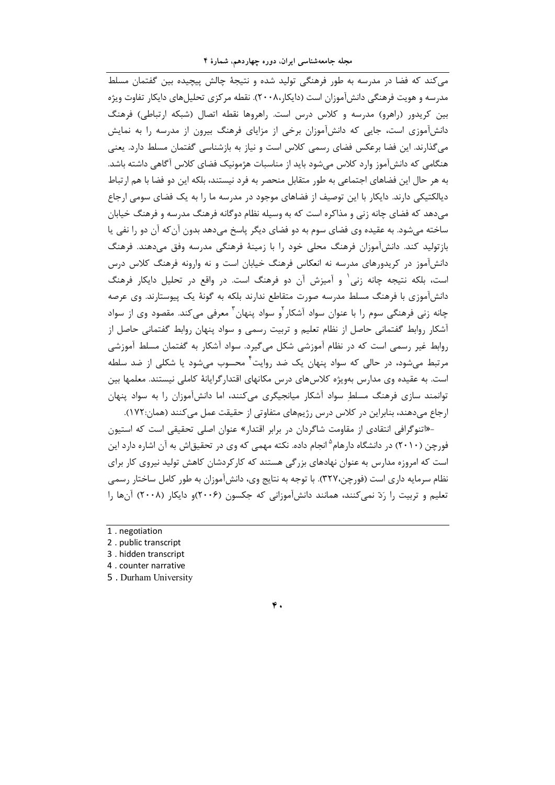می کند که فضا در مدرسه به طور فرهنگی تولید شده و نتیجهٔ چالش پیچیده بین گفتمان مسلط مدرسه و هویت فرهنگی دانش آموزان است (دایکار۲۰۰۸،۰). نقطه مرکزی تحلیل های دایکار تفاوت ویژه بین کریدور (راهرو) مدرسه و کلاس درس است. راهروها نقطه اتصال (شبکه ارتباطی) فرهنگ دانشآموزی است، جایی که دانشآموزان برخی از مزایای فرهنگ بیرون از مدرسه را به نمایش میگذارند. این فضا برعکس فضای رسمی کلاس است و نیاز به بازشناسی گفتمان مسلط دارد. یعنی هنگامی که دانش آموز وارد کلاس می شود باید از مناسبات هژمونیک فضای کلاس آگاهی داشته باشد. به هر حال این فضاهای اجتماعی به طور متقابل منحصر به فرد نیستند، بلکه این دو فضا با هم ارتباط دیالکتیکی دارند. دایکار با این توصیف از فضاهای موجود در مدرسه ما را به یک فضای سومی ارجاع می دهد که فضای چانه زنی و مذاکره است که به وسیله نظام دوگانه فرهنگ مدرسه و فرهنگ خیابان ساخته می شود. به عقیده وی فضای سوم به دو فضای دیگر پاسخ می دهد بدون آن که آن دو را نفی یا بازتولید کند. دانشآموزان فرهنگ محلی خود را با زمینهٔ فرهنگی مدرسه وفق میدهند. فرهنگ دانشآموز در کریدورهای مدرسه نه انعکاس فرهنگ خیابان است و نه وارونه فرهنگ کلاس درس است، بلکه نتیجه چانه زنی و آمیزش آن دو فرهنگ است. در واقع در تحلیل دایکار فرهنگ دانشآموزی با فرهنگ مسلط مدرسه صورت متقاطع ندارند بلکه به گونهٔ یک پیوستارند. وی عرصه چانه زنی فرهنگی سوم را با عنوان سواد آشکار <sup>۲</sup>و سواد پنهان<sup>۳</sup> معرفی می *ک*ند. مقصود وی از سواد آشکار روابط گفتمانی حاصل از نظام تعلیم و تربیت رسمی و سواد پنهان روابط گفتمانی حاصل از روابط غیر رسمی است که در نظام آموزشی شکل میگیرد. سواد آشکار به گفتمان مسلط آموزشی مرتبط می شود، در حالی که سواد پنهان یک ضد روایت ٔ محسوب می شود یا شکلی از ضد سلطه است. به عقیده وی مدارس بهویژه کلاسهای درس مکانهای اقتدارگرایانهٔ کاملی نیستند. معلمها بین توانمند سازی فرهنگ مسلط سواد آشکار میانجیگری می کنند، اما دانش آموزان را به سواد پنهان ارجاع می،دهند، بنابراین در کلاس درس رژیمهای متفاوتی از حقیقت عمل می کنند (همان:۱۷۲).

-«اتنوگرافی انتقادی از مقاومت شاگردان در برابر اقتدار» عنوان اصلی تحقیقی است که استیون فورچن (۲۰۱۰) در دانشگاه دارهام<sup>۵</sup> انجام داده. نکته مهمی که وی در تحقیق|ش به آن اشاره دارد این است که امروزه مدارس به عنوان نهادهای بزرگی هستند که کارکردشان کاهش تولید نیروی کار برای نظام سرمایه داری است (فورچن،۳۲۷). با توجه به نتایج وی، دانشآموزان به طور کامل ساختار رسمی تعلیم و تربیت را رَدّ نمی کنند، همانند دانش آموزانی که جکسون (۲۰۰۶)و دایکار (۲۰۰۸) آنها را

- 1. negotiation
- 2. public transcript

3. hidden transcript

<sup>4.</sup> counter narrative

<sup>5.</sup> Durham University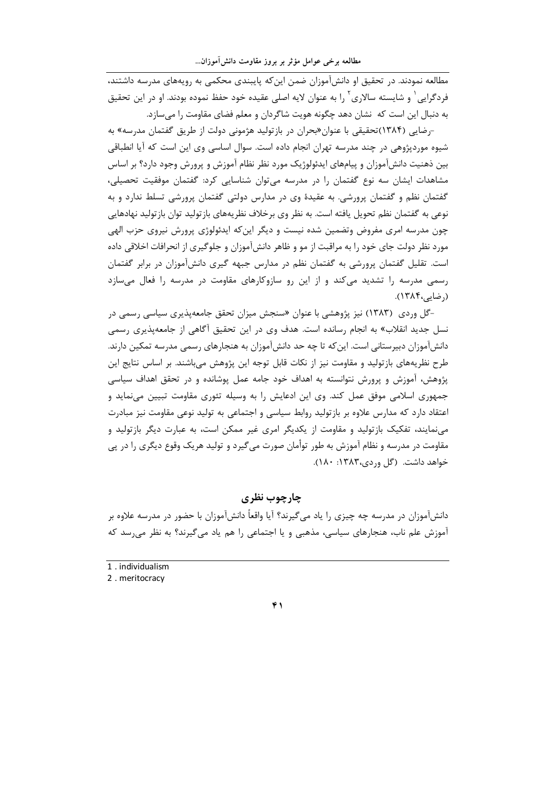مطالعه نمودند. در تحقیق او دانش آموزان ضمن این که پایبندی محکمی به رویههای مدرسه داشتند، فردگرایی ٔ و شایسته سالاری ٔ ٫ا به عنوان لایه اصلی عقیده خود حفظ نموده بودند. او در این تحقیق به دنبال این است که نشان دهد چگونه هویت شاگردان و معلم فضای مقاومت را می سازد.

-رضایی (۱۳۸۴)تحقیقی با عنوان«بحران در بازتولید هژمونی دولت از طریق گفتمان مدرسه» به شیوه موردپژوهی در چند مدرسه تهران انجام داده است. سوال اساسی وی این است که آیا انطباقی بین ذهنیت دانشآموزان و پیامهای ایدئولوژیک مورد نظر نظام آموزش و پرورش وجود دارد؟ بر اساس مشاهدات ایشان سه نوع گفتمان را در مدرسه میتوان شناسایی کرد: گفتمان موفقیت تحصیلی، گفتمان نظم و گفتمان پرورشی. به عقیدهٔ وی در مدارس دولتی گفتمان پرورشی تسلط ندارد و به نوعی به گفتمان نظم تحویل یافته است. به نظر وی برخلاف نظریههای بازتولید توان بازتولید نهادهایی چون مدرسه امری مفروض وتضمین شده نیست و دیگر این که ایدئولوژی پرورش نیروی حزب الهی مورد نظر دولت جای خود را به مراقبت از مو و ظاهر دانشآموزان و جلوگیری از انحرافات اخلاقی داده است. تقلیل گفتمان پرورشی به گفتمان نظم در مدارس جبهه گیری دانشآموزان در برابر گفتمان رسمی مدرسه را تشدید میکند و از این رو سازوکارهای مقاومت در مدرسه را فعال میسازد (رضایے،۱۳۸۴).

-گل وردی (۱۳۸۳) نیز پژوهشی با عنوان «سنجش میزان تحقق جامعهپذیری سیاسی رسمی در نسل جدید انقلاب» به انجام رسانده است. هدف وی در این تحقیق أگاهی از جامعهپذیری رسمی دانشآموزان دبیرستانی است. این که تا چه حد دانشآموزان به هنجارهای رسمی مدرسه تمکین دارند. طرح نظریههای باز تولید و مقاومت نیز از نکات قابل توجه این پژوهش می،باشند. بر اساس نتایج این پژوهش، آموزش و پرورش نتوانسته به اهداف خود جامه عمل پوشانده و در تحقق اهداف سیاسی جمهوری اسلامی موفق عمل کند. وی این ادعایش را به وسیله تئوری مقاومت تبیین مینماید و اعتقاد دارد که مدارس علاوه بر بازتولید روابط سیاسی و اجتماعی به تولید نوعی مقاومت نیز مبادرت مینمایند، تفکیک بازتولید و مقاومت از یکدیگر امری غیر ممکن است، به عبارت دیگر بازتولید و مقاومت در مدرسه و نظام آموزش به طور توأمان صورت می5یرد و تولید هریک وقوع دیگری را در پی خواهد داشت. (گل وردی،۱۳۸۳: ۱۸۰).

چارچوب نظری

دانشآموزان در مدرسه چه چیزی را یاد میگیرند؟ آیا واقعاً دانشآموزان با حضور در مدرسه علاوه بر آموزش علم ناب، هنجارهای سیاسی، مذهبی و یا اجتماعی را هم یاد می گیرند؟ به نظر می رسد که

1. individualism

2. meritocracy

 $\mathbf{f}$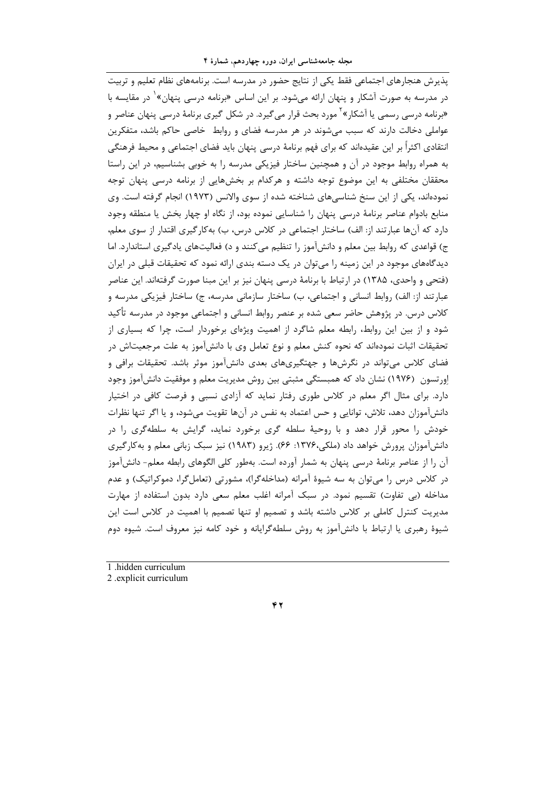مجله جامعهشناسی ایران، دوره چهاردهم، شمارهٔ ۴

یذیرش هنجارهای اجتماعی فقط یکی از نتایج حضور در مدرسه است. برنامههای نظام تعلیم و تربیت در مدرسه به صورت آشکار و پنهان ارائه می شود. بر این اساس «برنامه درسی پنهان»<sup>۱</sup> در مقایسه با «برنامه درسی رسمی یا آشکار»<sup>۲</sup> مورد بحث قرار میگیرد. در شکل گیری برنامهٔ درسی پنهان عناصر و عواملی دخالت دارند که سبب میشوند در هر مدرسه فضای و روابط خاصی حاکم باشد، متفکرین انتقادی اکثراً بر این عقیدهاند که برای فهم برنامهٔ درسی پنهان باید فضای اجتماعی و محیط فرهنگی به همراه روابط موجود در آن و همچنین ساختار فیزیکی مدرسه را به خوبی بشناسیم، در این راستا محققان مختلفی به این موضوع توجه داشته و هرکدام بر بخشهایی از برنامه درسی پنهان توجه نمودهاند، یکی از این سنخ شناسیهای شناخته شده از سوی والانس (۱۹۷۳) انجام گرفته است. وی منابع بادوام عناصر برنامهٔ درسی پنهان را شناسایی نموده بود، از نگاه او چهار بخش یا منطقه وجود دارد که آنها عبارتند از: الف) ساختار اجتماعی در کلاس درس، ب) بهکارگیری اقتدار از سوی معلم، ج) قواعدی که روابط بین معلم و دانشآموز را تنظیم میکنند و د) فعالیتهای یادگیری استاندارد. اما دیدگاههای موجود در این زمینه را می توان در یک دسته بندی ارائه نمود که تحقیقات قبلی در ایران (فتحی و واحدی، ۱۳۸۵) در ارتباط با برنامهٔ درسی پنهان نیز بر این مبنا صورت گرفتهاند. این عناصر عبارتند از: الف) روابط انسانی و اجتماعی، ب) ساختار سازمانی مدرسه، ج) ساختار فیزیکی مدرسه و کلاس درس. در پژوهش حاضر سعی شده بر عنصر روابط انسانی و اجتماعی موجود در مدرسه تأکید شود و از بین این روابط، رابطه معلم شاگرد از اهمیت ویژهای برخوردار است، چرا که بسیاری از تحقیقات اثبات نمودهاند که نحوه کنش معلم و نوع تعامل وی با دانشآموز به علت مرجعیتاش در فضای کلاس می تواند در نگرشها و جهتگیریهای بعدی دانشآموز موثر باشد. تحقیقات برافی و اورتسون (۱۹۷۶) نشان داد که همبستگی مثبتی بین روش مدیریت معلم و موفقیت دانشآموز وجود دارد. برای مثال اگر معلم در کلاس طوری رفتار نماید که آزادی نسبی و فرصت کافی در اختیار دانشآموزان دهد، تلاش، توانایی و حس اعتماد به نفس در آنها تقویت می شود، و یا اگر تنها نظرات خودش را محور قرار دهد و با روحیهٔ سلطه گری برخورد نماید، گرایش به سلطهگری را در دانشآموزان پرورش خواهد داد (ملکی،۱۳۷۶: ۶۶). ژیرو (۱۹۸۳) نیز سبک زبانی معلم و به کارگیری آن را از عناصر برنامهٔ درسی پنهان به شمار آورده است. بهطور کلی الگوهای رابطه معلم- دانشآموز در کلاس درس را می توان به سه شیوهٔ آمرانه (مداخلهگرا)، مشورتی (تعاملگرا، دموکراتیک) و عدم مداخله (بی تفاوت) تقسیم نمود. در سبک آمرانه اغلب معلم سعی دارد بدون استفاده از مهارت مدیریت کنترل کاملی بر کلاس داشته باشد و تصمیم او تنها تصمیم با اهمیت در کلاس است این شیوهٔ رهبری یا ارتباط با دانشآموز به روش سلطهگرایانه و خود کامه نیز معروف است. شیوه دوم

1 hidden curriculum

2 explicit curriculum

 $YY$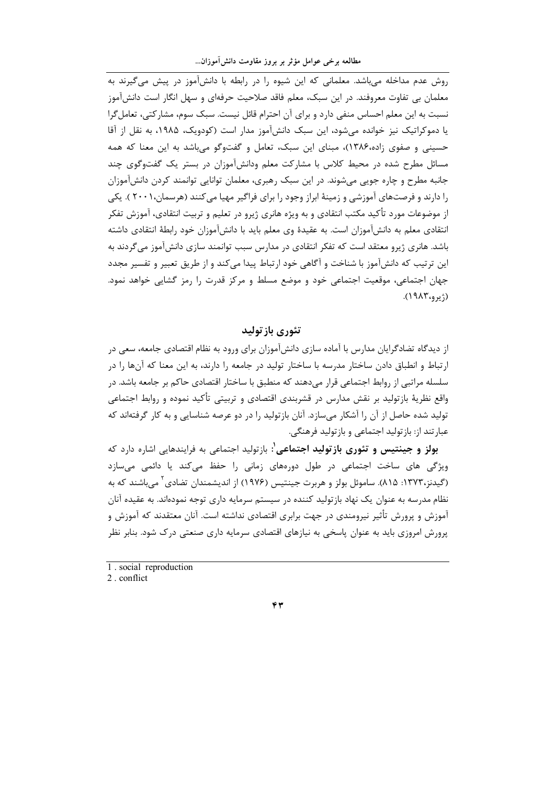روش عدم مداخله می باشد. معلمانی که این شیوه را در رابطه با دانش آموز در پیش می گیرند به معلمان ہے تفاوت معروفند. در این سبک، معلم فاقد صلاحیت حرفهای و سهل انگار است دانش آموز نسبت به این معلم احساس منفی دارد و برای آن احترام قائل نیست. سبک سوم، مشارکتی، تعامل گرا یا دموکراتیک نیز خوانده می شود، این سبک دانش آموز مدار است (کودویک، ۱۹۸۵، به نقل از آقا حسینی و صفوی زاده،۱۳۸۶)، مبنای این سبک، تعامل و گفتوگو میباشد به این معنا که همه مسائل مطرح شده در محیط کلاس با مشارکت معلم ودانش آموزان در بستر یک گفتوگوی چند جانبه مطرح و چاره جویی میشوند. در این سبک رهبری، معلمان توانایی توانمند کردن دانشآموزان را دارند و فرصتهای آموزشی و زمینهٔ ابراز وجود را برای فراگیر مهیا میکنند (هرسمان،۲۰۰۱). یکی از موضوعات مورد تأكيد مكتب انتقادي و به ويژه هانري ژيرو در تعليم و تربيت انتقادي، آموزش تفكر انتقادی معلم به دانشآموزان است. به عقیدهٔ وی معلم باید با دانشآموزان خود رابطهٔ انتقادی داشته باشد. هانری ژیرو معتقد است که تفکر انتقادی در مدارس سبب توانمند سازی دانشآموز میگردند به این ترتیب که دانشآموز با شناخت و آگاهی خود ارتباط پیدا میکند و از طریق تعبیر و تفسیر مجدد جهان اجتماعی، موقعیت اجتماعی خود و موضع مسلط و مرکز قدرت را رمز گشایی خواهد نمود.  $(19\lambda\mathcal{F}_{19},\mathcal{F}_{19})$ 

# تئوري باز توليد

از دیدگاه تضادگرایان مدارس با آماده سازی دانشآموزان برای ورود به نظام اقتصادی جامعه، سعی در ارتباط و انطباق دادن ساختار مدرسه با ساختار تولید در جامعه را دارند، به این معنا که آنها را در سلسله مراتبی از روابط اجتماعی قرار میدهند که منطبق با ساختار اقتصادی حاکم بر جامعه باشد. در واقع نظریهٔ بازتولید بر نقش مدارس در قشربندی اقتصادی و تربیتی تأکید نموده و روابط اجتماعی تولید شده حاصل از آن را آشکار میسازد. آنان بازتولید را در دو عرصه شناسایی و به کار گرفتهاند که عبارتند از: باز تولید اجتماعی و باز تولید فرهنگی.

**بولز و جینتیس و تئوری بازتولید اجتماعی'**: بازتولید اجتماعی به فرایندهایی اشاره دارد که ویژگی های ساخت اجتماعی در طول دورههای زمانی را حفظ می کند یا دائمی میسازد (گیدنز،۱۳۷۳: ۸۱۵). ساموئل بولز و هربرت جینتیس (۱۹۷۶) از اندیشمندان تضادی ٔ می باشند که به نظام مدرسه به عنوان یک نهاد بازتولید کننده در سیستم سرمایه داری توجه نمودهاند. به عقیده آنان آموزش و پرورش تأثیر نیرومندی در جهت برابری اقتصادی نداشته است. آنان معتقدند که آموزش و پرورش امروزی باید به عنوان پاسخی به نیازهای اقتصادی سرمایه داری صنعتی درک شود. بنابر نظر

<sup>1.</sup> social reproduction

<sup>2</sup> conflict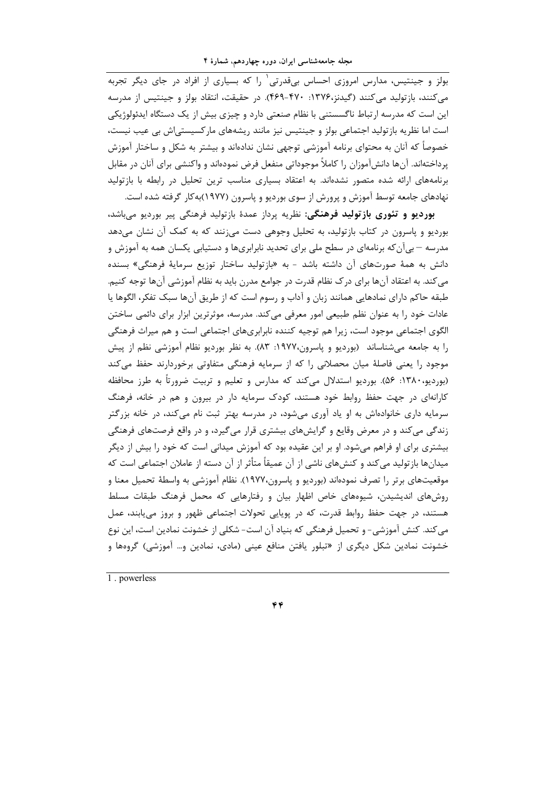بولز و جینتیس، مدارس امروزی احساس بےقدرتی' را که بسیاری از افراد در جای دیگر تجربه می کنند، بازتولید می کنند (گیدنز،۱۳۷۶: ۴۷۰-۴۶۹). در حقیقت، انتقاد بولز و جینتیس از مدرسه این است که مدرسه ارتباط ناگسستنی با نظام صنعتی دارد و چیزی بیش از یک دستگاه ایدئولوژیکی است اما نظریه بازتولید اجتماعی بولز و جینتیس نیز مانند ریشههای مارکسیستی|ش بی عیب نیست، خصوصاً که آنان به محتوای برنامه آموزشی توجهی نشان ندادهاند و بیشتر به شکل و ساختار آموزش پرداختهاند. آنها دانشآموزان را كاملاً موجوداتی منفعل فرض نمودهاند و واكنشی برای آنان در مقابل برنامههای ارائه شده متصور نشدهاند. به اعتقاد بسیاری مناسب ترین تحلیل در رابطه با بازتولید نهادهای جامعه توسط آموزش و پرورش از سوی بوردیو و پاسرون (۱۹۷۷)به کار گرفته شده است.

بورديو و تئوري بازتوليد فرهنگي: نظريه پرداز عمدهٔ بازتوليد فرهنگي پير بورديو ميباشد، بوردیو و پاسرون در کتاب بازتولید، به تحلیل وجوهی دست می;نند که به کمک آن نشان می،دهد مدرسه – بی[ن که برنامهای در سطح ملی برای تحدید نابرابریها و دستیابی یکسان همه به آموزش و دانش به همهٔ صورتهای آن داشته باشد - به «بازتولید ساختار توزیع سرمایهٔ فرهنگی» بسنده می کند. به اعتقاد آنها برای در ک نظام قدرت در جوامع مدرن باید به نظام آموزشی آنها توجه کنیم. طبقه حاكم داراي نمادهايي همانند زبان و آداب و رسوم است كه از طريق آنها سبك تفكر، الگوها يا عادات خود را به عنوان نظم طبیعی امور معرفی می کند. مدرسه، موثرترین ابزار برای دائمی ساختن الگوی اجتماعی موجود است، زیرا هم توجیه کننده نابرابریهای اجتماعی است و هم میراث فرهنگی را به جامعه میشناساند (بوردیو و پاسرون،۱۹۷۷: ۸۳). به نظر بوردیو نظام آموزشی نظم از پیش موجود را یعنی فاصلهٔ میان محصلانی را که از سرمایه فرهنگی متفاوتی برخوردارند حفظ می کند (بوردیو،۱۳۸۰: ۵۶). بوردیو استدلال میکند که مدارس و تعلیم و تربیت ضرورتاً به طرز محافظه کارانهای در جهت حفظ روابط خود هستند، کودک سرمایه دار در بیرون و هم در خانه، فرهنگ سرمایه داری خانوادهاش به او یاد آوری میشود، در مدرسه بهتر ثبت نام می کند، در خانه بزرگتر زندگی می کند و در معرض وقایع و گرایشهای بیشتری قرار می گیرد، و در واقع فرصتهای فرهنگی بیشتری برای او فراهم می شود. او بر این عقیده بود که آموزش میدانی است که خود را بیش از دیگر میدانها بازتولید می کند و کنشهای ناشی از آن عمیقاً متأثر از آن دسته از عاملان اجتماعی است که موقعیتهای برتر را تصرف نمودهاند (بوردیو و پاسرون،۱۹۷۷). نظام آموزشی به واسطهٔ تحمیل معنا و روشهای اندیشیدن، شیوههای خاص اظهار بیان و رفتارهایی که محمل فرهنگ طبقات مسلط هستند، در جهت حفظ روابط قدرت، که در پویایی تحولات اجتماعی ظهور و بروز می یابند، عمل می کند. کنش آموزشی- و تحمیل فرهنگی که بنیاد آن است- شکلی از خشونت نمادین است، این نوع خشونت نمادین شکل دیگری از «تبلور یافتن منافع عینی (مادی، نمادین و… آموزشی) گروهها و

1. powerless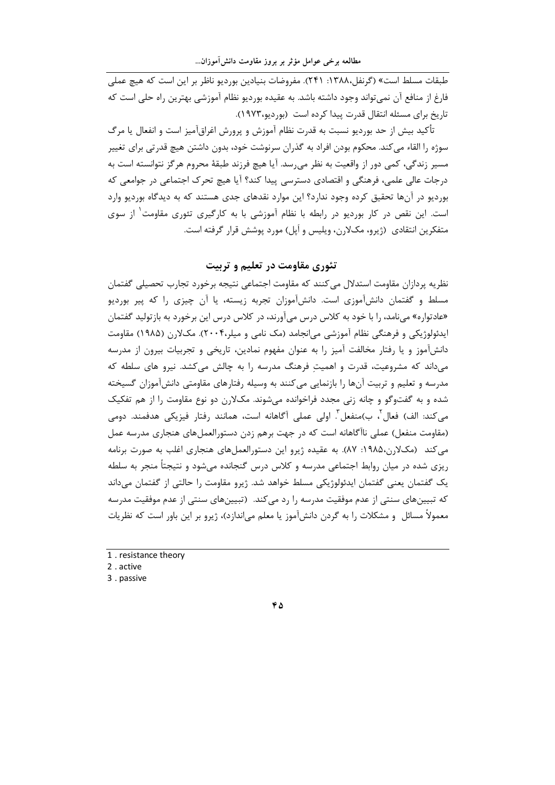طبقات مسلط است» (گرنفل،۱۳۸۸: ۲۴۱). مفروضات بنیادین بوردیو ناظر بر این است که هیچ عملی فارغ از منافع آن نمی تواند وجود داشته باشد. به عقیده بوردیو نظام آموزشی بهترین راه حلی است که تاریخ برای مسئله انتقال قدرت پیدا کرده است (بوردیو،۱۹۷۳).

تأکید بیش از حد بوردیو نسبت به قدرت نظام آموزش و پرورش اغراقآمیز است و انفعال یا مرگ سوژه را القاء می کند. محکوم بودن افراد به گذران سرنوشت خود، بدون داشتن هیچ قدرتی برای تغییر مسير زندگي، كمي دور از واقعيت به نظر مي رسد. آيا هيچ فرزند طبقهٔ محروم هرگز نتوانسته است به درجات عالی علمی، فرهنگی و اقتصادی دسترسی پیدا کند؟ آیا هیچ تحرک اجتماعی در جوامعی که بوردیو در آنها تحقیق کرده وجود ندارد؟ این موارد نقدهای جدی هستند که به دیدگاه بوردیو وارد است. این نقص در کار بوردیو در رابطه با نظام آموزشی با به کارگیری تئوری مقاومت<sup>۱</sup> از سوی متفكرين انتقادي (ژيرو، مكلارن، ويليس و أپل) مورد پوشش قرار گرفته است.

# تئوري مقاومت در تعلیم و تربیت

نظریه پردازان مقاومت استدلال می کنند که مقاومت اجتماعی نتیجه برخورد تجارب تحصیلی گفتمان مسلط و گفتمان دانشآموزی است. دانشآموزان تجربه زیسته، یا آن چیزی را که پیر بوردیو «عادتواره» میiامد، را با خود به کلاس درس میآورند، در کلاس درس این برخورد به بازتولید گفتمان ایدئولوژیکی و فرهنگی نظام آموزشی می|نجامد (مک نامی و میلر،۲۰۰۴). مکلارن (۱۹۸۵) مقاومت دانشآموز و یا رفتار مخالفت آمیز را به عنوان مفهوم نمادین، تاریخی و تجربیات بیرون از مدرسه میداند که مشروعیت، قدرت و اهمیتِ فرهنگ مدرسه را به چالش میکشد. نیرو های سلطه که مدرسه و تعلیم و تربیت آنها را بازنمایی می کنند به وسیله رفتارهای مقاومتی دانشآموزان گسیخته شده و به گفتوگو و چانه زنی مجدد فراخوانده میشوند. مکلارن دو نوع مقاومت را از هم تفکیک می کند: الف) فعال ٔ، ب)منفعل ؓ. اولی عملی آگاهانه است، همانند رفتار فیزیکی هدفمند. دومی (مقاومت منفعل) عملی ناآگاهانه است که در جهت برهم زدن دستورالعملهای هنجاری مدرسه عمل می کند (مکلارن،۱۹۸۵: ۸۷). به عقیده ژیرو این دستورالعملهای هنجاری اغلب به صورت برنامه ریزی شده در میان روابط اجتماعی مدرسه و کلاس درس گنجانده میشود و نتیجتاً منجر به سلطه یک گفتمان یعنی گفتمان ایدئولوژیکی مسلط خواهد شد. ژیرو مقاومت را حالتی از گفتمان میداند که تبیینهای سنتی از عدم موفقیت مدرسه را رد می کند. (تبیینهای سنتی از عدم موفقیت مدرسه معمولاً مسائل و مشکلات را به گردن دانشآموز یا معلم می|ندازد)، ژیرو بر این باور است که نظریات

<sup>1 .</sup> resistance theory

<sup>2.</sup> active

<sup>3.</sup> passive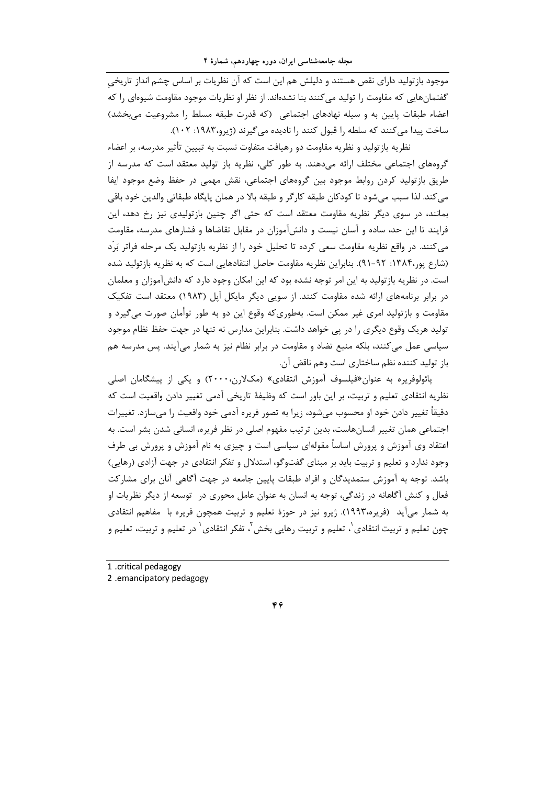۔<br>موجود بازتولید دارای نقص هستند و دلیلش هم این است که آن نظریات بر اساس چشم انداز تاریخی گفتمانهایی که مقاومت ۱٫ تولید می کنند بنا نشدهاند. از نظر او نظریات موجود مقاومت شیوهای ۱٫ که اعضاء طبقات پایین به و سیله نهادهای اجتماعی (که قدرت طبقه مسلط را مشروعیت می بخشد) ساخت پیدا می کنند که سلطه را قبول کنند را نادیده می گیرند (ژیرو،۱۹۸۳: ۱۰۲).

نظریه بازتولید و نظریه مقاومت دو رهیافت متفاوت نسبت به تبیین تأثیر مدرسه، بر اعضاء گروههای اجتماعی مختلف ارائه میدهند. به طور کلی، نظریه باز تولید معتقد است که مدرسه از طريق بازتوليد كردن روابط موجود بين گروههاي اجتماعي، نقش مهمي در حفظ وضع موجود ايفا می کند. لذا سبب میشود تا کودکان طبقه کارگر و طبقه بالا در همان پایگاه طبقاتی والدین خود باقی بمانند، در سوی دیگر نظریه مقاومت معتقد است که حتی اگر چنین بازتولیدی نیز رخ دهد، این فرایند تا این حد، ساده و آسان نیست و دانشآموزان در مقابل تقاضاها و فشارهای مدرسه، مقاومت می کنند. در واقع نظریه مقاومت سعی کرده تا تحلیل خود را از نظریه بازتولید یک مرحله فراتر بَرَد (شارع پور،۱۳۸۴: ۹۲-۹۱). بنابراین نظریه مقاومت حاصل انتقادهایی است که به نظریه بازتولید شده است. در نظریه بازتولید به این امر توجه نشده بود که این امکان وجود دارد که دانشآموزان و معلمان در برابر برنامههای ارائه شده مقاومت کنند. از سویی دیگر مایکل اَپل (۱۹۸۳) معتقد است تفکیک مقاومت و بازتولید امری غیر ممکن است. بهطوریکه وقوع این دو به طور توأمان صورت می گیرد و تولید هریک وقوع دیگری را در پی خواهد داشت. بنابراین مدارس نه تنها در جهت حفظ نظام موجود سیاسی عمل میکنند، بلکه منبع تضاد و مقاومت در برابر نظام نیز به شمار می آیند. پس مدرسه هم باز توليد كننده نظم ساختاري است وهم ناقض آن.

پائولوفريره به عنوان«فيلسوف آموزش انتقادي» (مکلارن،۲۰۰۰) و يکي از پيشگامان اصلي نظریه انتقادی تعلیم و تربیت، بر این باور است که وظیفهٔ تاریخی آدمی تغییر دادن واقعیت است که دقیقاً تغییر دادن خود او محسوب می شود، زیرا به تصور فریره آدمی خود واقعیت را می سازد. تغییرات اجتماعی همان تغییر انسانهاست، بدین ترتیب مفهوم اصلی در نظر فریره، انسانی شدن بشر است. به اعتقاد وی آموزش و پرورش اساساً مقولهای سیاسی است و چیزی به نام آموزش و پرورش بی طرف وجود ندارد و تعلیم و تربیت باید بر مبنای گفتوگو، استدلال و تفکر انتقادی در جهت آزادی (رهایی) باشد. توجه به آموزش ستمدیدگان و افراد طبقات پایین جامعه در جهت آگاهی آنان برای مشارکت فعال و کنش آگاهانه در زندگی، توجه به انسان به عنوان عامل محوری در توسعه از دیگر نظریات او به شمار می آید (فریره،۱۹۹۳). ژیرو نیز در حوزهٔ تعلیم و تربیت همچون فریره با مفاهیم انتقادی چون تعلیم و تربیت انتقادی`، تعلیم و تربیت رهایی بخش`، تفکر انتقادی` در تعلیم و تربیت، تعلیم و

<sup>1 .</sup>critical pedagogy

<sup>2 .</sup>emancipatory pedagogy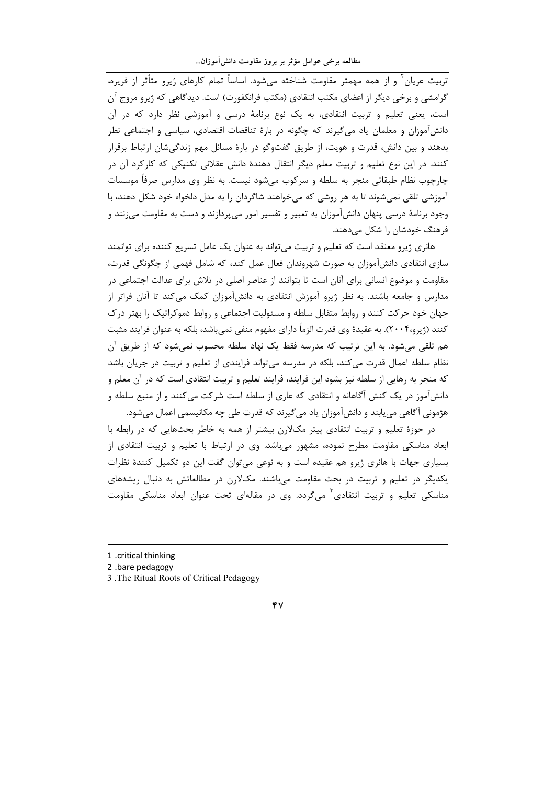۔<br>تربیت عربان ( و از همه مهمتر مقاومت شناخته مے شود. اساساً تمام کارهای ژبرو متأثر از فریرہ، گرامشی و برخی دیگر از اعضای مکتب انتقادی (مکتب فرانکفورت) است. دیدگاهی که ژیرو مروج آن است، یعنی تعلیم و تربیت انتقادی، به یک نوع برنامهٔ درسی و آموزشی نظر دارد که در آن دانشآموزان و معلمان یاد می گیرند که چگونه در بارهٔ تناقضات اقتصادی، سیاسی و اجتماعی نظر بدهند و بین دانش، قدرت و هویت، از طریق گفتوگو در بارهٔ مسائل مهم زندگیشان ارتباط برقرار کنند. در این نوع تعلیم و تربیت معلم دیگر انتقال دهندهٔ دانش عقلانی تکنیکی که کارکرد آن در چارچوب نظام طبقاتی منجر به سلطه و سرکوب می،شود نیست. به نظر وی مدارس صرفاً موسسات آموزشی تلقی نمیشوند تا به هر روشی که میخواهند شاگردان را به مدل دلخواه خود شکل دهند، با وجود برنامهٔ درسی پنهان دانشآموزان به تعبیر و تفسیر امور میپردازند و دست به مقاومت میزنند و فرهنگ خودشان را شکل میدهند.

هانری ژیرو معتقد است که تعلیم و تربیت میتواند به عنوان یک عامل تسریع کننده برای توانمند سازی انتقادی دانشآموزان به صورت شهروندان فعال عمل کند، که شامل فهمی از چگونگی قدرت، مقاومت و موضوع انسانی برای آنان است تا بتوانند از عناصر اصلی در تلاش برای عدالت اجتماعی در مدارس و جامعه باشند. به نظر ژیرو آموزش انتقادی به دانشآموزان کمک میکند تا آنان فراتر از جهان خود حرکت کنند و روابط متقابل سلطه و مسئولیت اجتماعی و روابط دموکراتیک را بهتر درک کنند (ژیرو،۲۰۰۴). به عقیدهٔ وی قدرت الزمأ دارای مفهوم منفی نمیباشد، بلکه به عنوان فرایند مثبت هم تلقی می شود. به این ترتیب که مدرسه فقط یک نهاد سلطه محسوب نمی شود که از طریق آن نظام سلطه اعمال قدرت می کند، بلکه در مدرسه می تواند فرایندی از تعلیم و تربیت در جریان باشد که منجر به رهایی از سلطه نیز بشود این فرایند، فرایند تعلیم و تربیت انتقادی است که در آن معلم و دانش]موز در یک کنش آگاهانه و انتقادی که عاری از سلطه است شرکت می کنند و از منبع سلطه و هژمونی آگاهی می بابند و دانشآموزان یاد می گیرند که قدرت طی چه مکانیسمی اعمال می شود.

در حوزهٔ تعلیم و تربیت انتقادی پیتر مکلارن بیشتر از همه به خاطر بحثهایی که در رابطه با ابعاد مناسکی مقاومت مطرح نموده، مشهور میباشد. وی در ارتباط با تعلیم و تربیت انتقادی از بسیاری جهات با هانری ژیرو هم عقیده است و به نوعی میتوان گفت این دو تکمیل کنندهٔ نظرات یکدیگر در تعلیم و تربیت در بحث مقاومت میباشند. مکلارن در مطالعاتش به دنبال ریشههای مناسکی تعلیم و تربیت انتقادی ؓ میگردد. وی در مقالهای تحت عنوان ابعاد مناسکی مقاومت

2 .bare pedagogy

<sup>1 .</sup>critical thinking

<sup>3.</sup> The Ritual Roots of Critical Pedagogy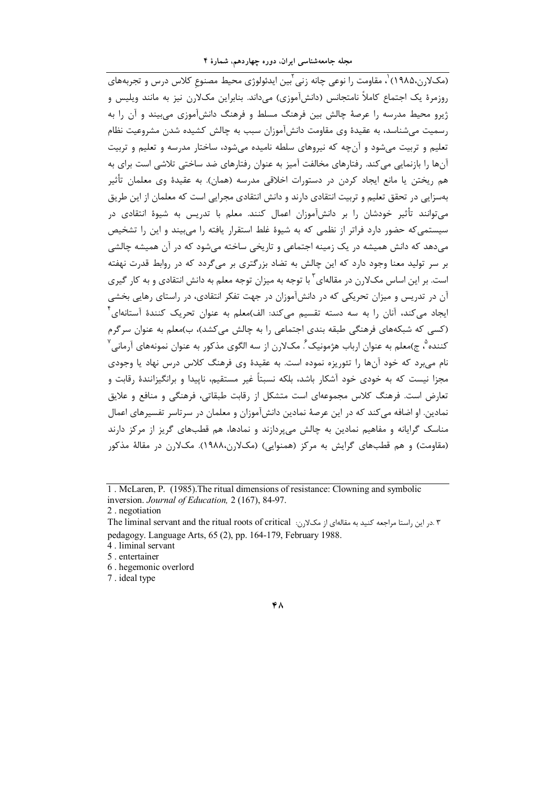(مکلارن،۱۹۸۵) ٔ، مقاومت را نوعی چانه زنی <sup>۲</sup>بین ایدئولوژی محیط مصنوع کلاس درس و تجربههای روزمرۂ یک اجتماع کاملاً نامتجانس (دانش[موزی) مے،داند. بنابراین مکلارن نیز به مانند ویلیس و ژیرو محیط مدرسه را عرصهٔ چالش بین فرهنگ مسلط و فرهنگ دانشآموزی می بیند و آن را به رسمیت می شناسد، به عقیدهٔ وی مقاومت دانش آموزان سبب به چالش کشیده شدن مشروعیت نظام تعلیم و تربیت میشود و آنچه که نیروهای سلطه نامیده میشود، ساختار مدرسه و تعلیم و تربیت آنها را بازنمایی می کند. رفتارهای مخالفت آمیز به عنوان رفتارهای ضد ساختی تلاشی است برای به هم ريختن يا مانع ايجاد كردن در دستورات اخلاقي مدرسه (همان). به عقيدهٔ وي معلمان تأثير بهسزایی در تحقق تعلیم و تربیت انتقادی دارند و دانش انتقادی مجرایی است که معلمان از این طریق می توانند تأثیر خودشان را بر دانشآموزان اعمال کنند. معلم با تدریس به شیوهٔ انتقادی در سیستمی که حضور دارد فراتر از نظمی که به شیوهٔ غلط استقرار یافته را می بیند و این را تشخیص میدهد که دانش همیشه در یک زمینه اجتماعی و تاریخی ساخته میشود که در آن همیشه چالشی بر سر تولید معنا وجود دارد که این چالش به تضاد بزرگتری بر میگردد که در روابط قدرت نهفته است. بر این اساس مکلارن در مقالهای ٔ با توجه به میزان توجه معلم به دانش انتقادی و به کار گیری آن در تدریس و میزان تحریکی که در دانشآموزان در جهت تفکر انتقادی، در راستای رهایی بخشی ایجاد می کند، آنان را به سه دسته تقسیم می کند: الف)معلم به عنوان تحریک کنندهٔ آستانهای ٔ (کسے که شبکههای فرهنگی طبقه بندی اجتماعی را به چالش میکشد)، ب)معلم به عنوان سرگرم کننده ْ، ج)معلم به عنوان ارباب هژمونیک ٔ مکلارن از سه الگوی مذکور به عنوان نمونههای آرمانی ٰ نام مے برد که خود آنها را تئوریزه نموده است. به عقیدهٔ وی فرهنگ کلاس درس نهاد یا وجودی مجزا نیست که به خودی خود آشکار باشد، بلکه نسبتاً غیر مستقیم، ناپیدا و برانگیزانندهٔ رقابت و تعارض است. فرهنگ کلاس مجموعهای است متشکل از رقابت طبقاتی، فرهنگی و منافع و علایق نمادین. او اضافه می کند که در این عرصهٔ نمادین دانشآموزان و معلمان در سرتاسر تفسیرهای اعمال مناسک گرایانه و مفاهیم نمادین به چالش میپردازند و نمادها، هم قطبهای گریز از مرکز دارند (مقاومت) و هم قطبهای گرایش به مرکز (همنوایی) (مکلارن،۱۹۸۸). مکلارن در مقالهٔ مذکور

1. McLaren, P. (1985). The ritual dimensions of resistance: Clowning and symbolic inversion. Journal of Education, 2 (167), 84-97.

2. negotiation

4. liminal servant

5. entertainer

6. hegemonic overlord

7. ideal type

۳.در این راستا مراجعه کنید به مقالهای از مکلارن: The liminal servant and the ritual roots of critical pedagogy. Language Arts, 65 (2), pp. 164-179, February 1988.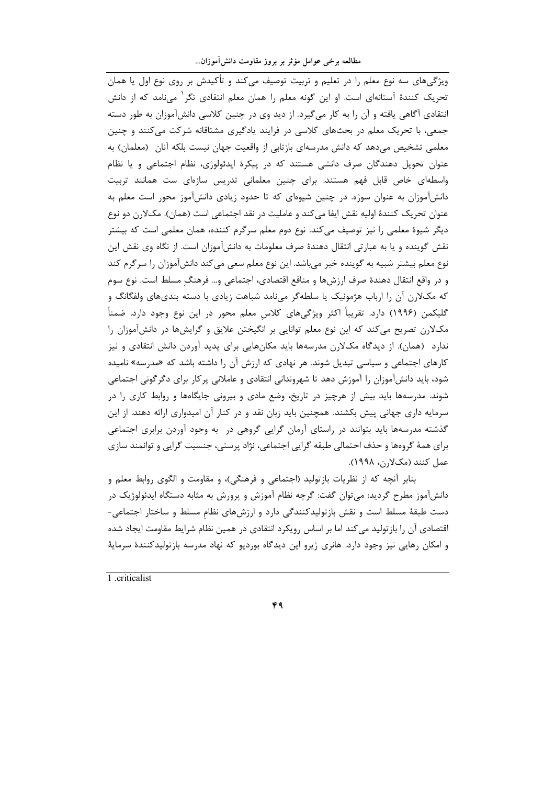ویژگی های سه نوع معلم را در تعلیم و تربیت توصیف می کند و تأکیدش بر روی نوع اول یا همان تحریک کنندهٔ آستانهای است. او این گونه معلم را همان معلم انتقادی نگر<sup>۱</sup> میiامد که از دانش انتقادی آگاهی یافته و آن را به کار میگیرد. از دید وی در چنین کلاسی دانشآموزان به طور دسته جمعی، با تحریک معلم در بحثهای کلاسی در فرایند یادگیری مشتاقانه شرکت میکنند و چنین معلمی تشخیص میدهد که دانش مدرسهای بازتابی از واقعیت جهان نیست بلکه آنان (معلمان) به عنوان تحویل دهندگان صرف دانشی هستند که در پیکرهٔ ایدئولوژی، نظام اجتماعی و یا نظام واسطهای خاص قابل فهم هستند. برای چنین معلمانی تدریس سازهای ست همانند تربیت دانشآموزان به عنوان سوژه. در چنین شیوهای که تا حدود زیادی دانشآموز محور است معلم به عنوان تحريک کنندهٔ اوليه نقش ايفا ميکند و عامليت در نقد اجتماعي است (همان). مکلارن دو نوع دیگر شیوهٔ معلمی را نیز توصیف میکند. نوع دوم معلم سرگرم کننده، همان معلمی است که بیشتر نقش گوینده و یا به عبارتی انتقال دهندهٔ صرف معلومات به دانشآموزان است. از نگاه وی نقش این نوع معلم بیشتر شبیه به گوینده خبر میباشد. این نوع معلم سعی میکند دانشآموزان را سرگرم کند و در واقع انتقال دهندهٔ صرف ارزشها و منافع اقتصادی، اجتماعی و… فرهنگ مسلط است. نوع سوم که مکلارن آن را ارباب هژمونیک یا سلطهگر مینامد شباهت زیادی با دسته بندیهای ولفگانگ و گلیکمن (۱۹۹۶) دارد. تقریباً اکثر ویژگیهای کلاس معلم محور در این نوع وجود دارد. ضمناً مکلارن تصریح میکند که این نوع معلم توانایی بر انگیختن علایق و گرایشها در دانشآموزان را ندارد (همان). از دیدگاه مکلارن مدرسهها باید مکانهایی برای پدید آوردن دانش انتقادی و نیز کارهای اجتماعی و سیاسی تبدیل شوند. هر نهادی که ارزش آن را داشته باشد که «مدرسه» نامیده شود، باید دانشآموزان را آموزش دهد تا شهروندانی انتقادی و عاملانی پرکار برای دگرگونی اجتماعی شوند. مدرسهها باید بیش از هرچیز در تاریخ، وضع مادی و بیرونی جایگاهها و روابط کاری را در سرمایه داری جهانی پیش بکشند. همچنین باید زبان نقد و در کنار آن امیدواری ارائه دهند. از این گذشته مدرسهها باید بتوانند در راستای آرمان گرایی گروهی در به وجود آوردن برابری اجتماعی برای همهٔ گروهها و حذف احتمالی طبقه گرایی اجتماعی، نژاد پرستی، جنسیت گرایی و توانمند سازی عمل كنند (مكلارن، ١٩٩٨).

بنابر آنچه که از نظریات بازتولید (اجتماعی و فرهنگی)، و مقاومت و الگوی روابط معلم و دانشآموز مطرح گردید: میتوان گفت: گرچه نظام آموزش و پرورش به مثابه دستگاه ایدئولوژیک در دست طبقهٔ مسلط است و نقش بازتولیدکنندگی دارد و ارزشهای نظام مسلط و ساختار اجتماعی-اقتصادی آن را بازتولید میکند اما بر اساس رویکرد انتقادی در همین نظام شرایط مقاومت ایجاد شده و امکان رهایی نیز وجود دارد. هانری ژیرو این دیدگاه بوردیو که نهاد مدرسه بازتولیدکنندهٔ سرمایهٔ

1 criticalist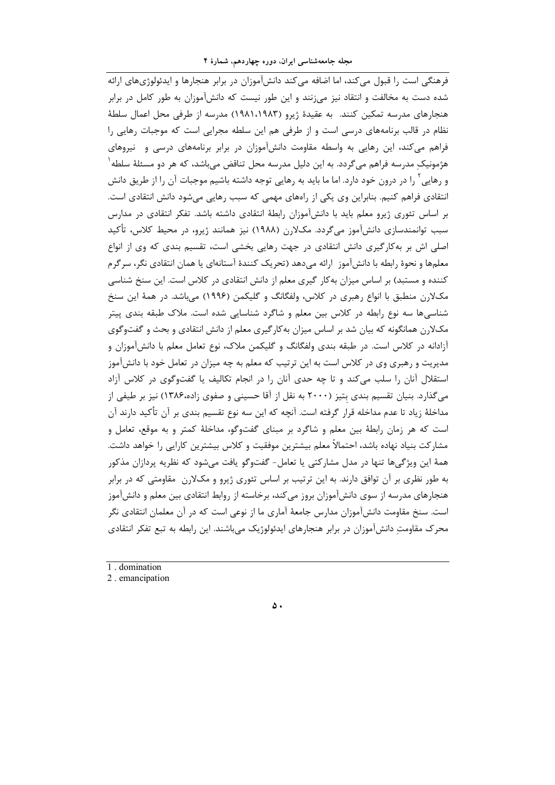فرهنگی است را قبول می کند، اما اضافه می کند دانش آموزان در برابر هنجارها و ایدئولوژیهای ارائه شده دست به مخالفت و انتقاد نیز می;نند و این طور نیست که دانشآموزان به طور کامل در برابر هنجارهای مدرسه تمکین کنند. به عقیدهٔ ژیرو (۱۹۸۱،۱۹۸۳) مدرسه از طرفی محل اعمال سلطهٔ نظام در قالب برنامههای درسی است و از طرفی هم این سلطه مجرایی است که موجبات رهایی را فراهم میکند، این رهایی به واسطه مقاومت دانشآموزان در برابر برنامههای درسی و نیروهای هژمونیک مدرسه فراهم میگردد. به این دلیل مدرسه محل تناقض میباشد، که هر دو مسئلهٔ سلطه ٰ و رهایی آ را در درون خود دارد. اما ما باید به رهایی توجه داشته باشیم موجبات آن را از طریق دانش انتقادی فراهم کنیم. بنابراین وی یکی از راههای مهمی که سبب رهایی میشود دانش انتقادی است. بر اساس تئوری ژیرو معلم باید با دانشآموزان رابطهٔ انتقادی داشته باشد. تفکر انتقادی در مدارس سبب توانمندسازی دانشآموز میگردد. مکلارن (۱۹۸۸) نیز همانند ژیرو، در محیط کلاس، تأکید اصلی اش بر بهکارگیری دانش انتقادی در جهت رهایی بخشی است، تقسیم بندی که وی از انواع معلمها و نحوهٔ رابطه با دانشآموز |رائه میدهد (تحریک کنندهٔ آستانهای یا همان انتقادی نگر، سرگرم کننده و مستبد) بر اساس میزان به کار گیری معلم از دانش انتقادی در کلاس است. این سنخ شناسی مکلارن منطبق با انواع رهبری در کلاس، ولفگانگ و گلیکمن (۱۹۹۶) میباشد. در همهٔ این سنخ شناسیها سه نوع رابطه در کلاس بین معلم و شاگرد شناسایی شده است. ملاک طبقه بندی پیتر مکلارن همانگونه که بیان شد بر اساس میزان بهکارگیری معلم از دانش انتقادی و بحث و گفتوگوی آزادانه در کلاس است. در طبقه بندی ولفگانگ و گلیکمن ملاک، نوع تعامل معلم با دانشآموزان و مدیریت و رهبری وی در کلاس است به این ترتیب که معلم به چه میزان در تعامل خود با دانشآموز استقلال آنان را سلب می کند و تا چه حدی آنان را در انجام تکالیف یا گفتوگوی در کلاس آزاد میگذارد. بنیان تقسیم بندی بتیز (۲۰۰۰ به نقل از آقا حسینی و صفوی زاده،۱۳۸۶) نیز بر طیفی از مداخلهٔ زیاد تا عدم مداخله قرار گرفته است. آنچه که این سه نوع تقسیم بندی بر آن تأکید دارند آن است که هر زمان رابطهٔ بین معلم و شاگرد بر مبنای گفتوگو، مداخلهٔ کمتر و به موقع، تعامل و مشاركت بنياد نهاده باشد، احتمالاً معلم بيشترين موفقيت و كلاس بيشترين كارايي را خواهد داشت. همهٔ این ویژگیها تنها در مدل مشارکتی یا تعامل- گفتوگو یافت میشود که نظریه پردازان مذکور به طور نظری بر آن توافق دارند. به این ترتیب بر اساس تئوری ژیرو و مکلارن ٍ مقاومتی که در برابر هنجارهای مدرسه از سوی دانش[موزان بروز می کند، برخاسته از روابط انتقادی بین معلم و دانش[موز است. سنخ مقاومت دانشآموزان مدارس جامعهٔ آماری ما از نوعی است که در آن معلمان انتقادی نگر محرک مقاومت دانشآموزان در برابر هنجارهای ایدئولوژیک میباشند. این رابطه به تبع تفکر انتقادی

1 domination

2. emancipation

 $\Delta$ .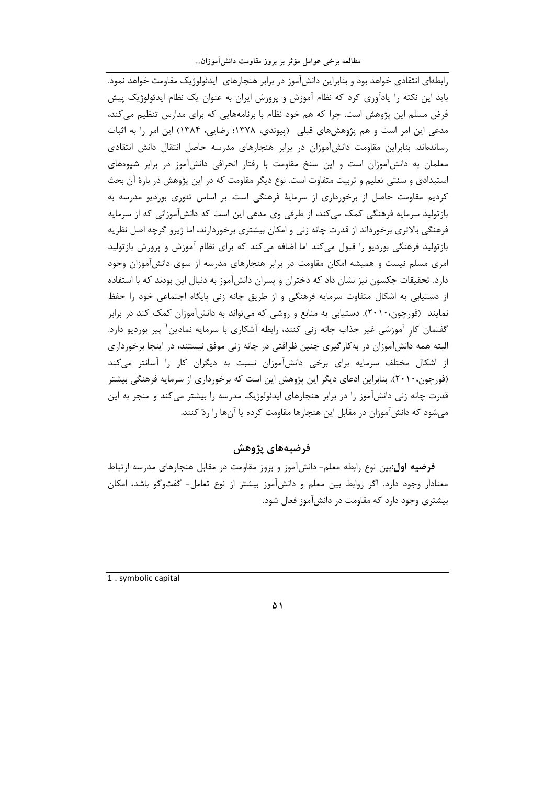رابطهای انتقادی خواهد بود و بنابراین دانش آموز در برابر هنجارهای ایدئولوژیک مقاومت خواهد نمود. باید این نکته را یادآوری کرد که نظام آموزش و پرورش ایران به عنوان یک نظام ایدئولوژیک پیش فرض مسلم این پژوهش است. چرا که هم خود نظام با برنامههایی که برای مدارس تنظیم میکند، مدعی این امر است و هم پژوهشهای قبلی (پیوندی، ۱۳۷۸؛ رضایی، ۱۳۸۴) این امر را به اثبات رساندهاند. بنابراین مقاومت دانش آموزان در برابر هنجارهای مدرسه حاصل انتقال دانش انتقادی معلمان به دانشآموزان است و این سنخ مقاومت با رفتار انحرافی دانشآموز در برابر شیوههای استبدادی و سنتی تعلیم و تربیت متفاوت است. نوع دیگر مقاومت که در این پژوهش در بارهٔ آن بحث کردیم مقاومت حاصل از برخورداری از سرمایهٔ فرهنگی است. بر اساس تئوری بوردیو مدرسه به بازتولید سرمایه فرهنگی کمک میکند، از طرفی وی مدعی این است که دانشآموزانی که از سرمایه فرهنگی بالاتری برخورداند از قدرت چانه زنی و امکان بیشتری برخوردارند، اما ژیرو گرچه اصل نظریه بازتولید فرهنگی بوردیو را قبول میکند اما اضافه میکند که برای نظام آموزش و پرورش بازتولید امری مسلم نیست و همیشه امکان مقاومت در برابر هنجارهای مدرسه از سوی دانشآموزان وجود دارد. تحقیقات جکسون نیز نشان داد که دختران و پسران دانشآموز به دنبال این بودند که با استفاده از دستیابی به اشکال متفاوت سرمایه فرهنگی و از طریق چانه زنی پایگاه اجتماعی خود را حفظ نمایند (فورچون،۲۰۱۰). دستیابی به منابع و روشی که میتواند به دانشآموزان کمک کند در برابر گفتمان کار آموزشی غیر جذاب چانه زنی کنند، رابطه آشکاری با سرمایه نمادین ٰ پیر بوردیو دارد. البته همه دانشآموزان در به کارگیری چنین ظرافتی در چانه زنی موفق نیستند، در اینجا برخورداری از اشکال مختلف سرمایه برای برخی دانشآموزان نسبت به دیگران کار را آسانتر میکند (فورچون،۲۰۱۰). بنابراین ادعای دیگر این پژوهش این است که برخورداری از سرمایه فرهنگی بیشتر قدرت چانه زنی دانشآموز را در برابر هنجارهای ایدئولوژیک مدرسه را بیشتر می کند و منجر به این می شود که دانش آموزان در مقابل این هنجارها مقاومت کرده یا آنها را ردّ کنند.

فرضيههاي يژوهش

**فرضیه اول:**بین نوع رابطه معلم– دانش آموز و بروز مقاومت در مقابل هنجارهای مدرسه ارتباط معنادار وجود دارد. اگر روابط بین معلم و دانشآموز بیشتر از نوع تعامل- گفتوگو باشد، امکان بیشتری وجود دارد که مقاومت در دانشآموز فعال شود.

1. symbolic capital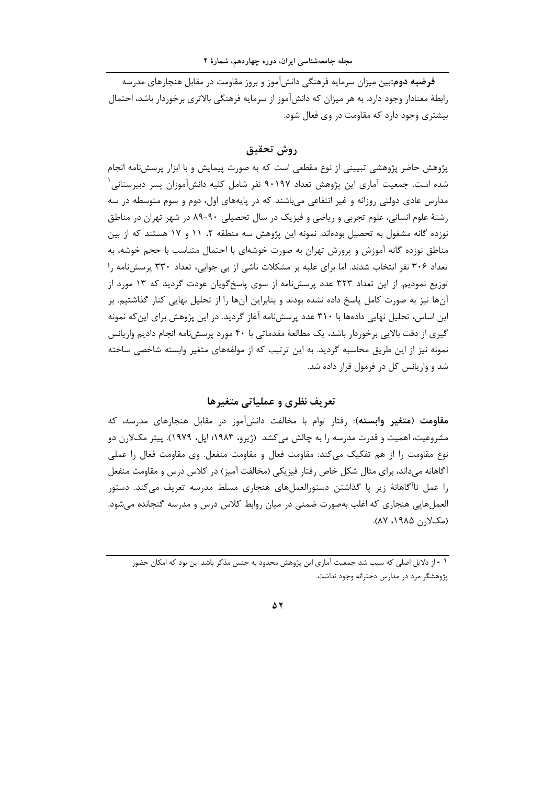**فرضیه دوم**:بین میزان سرمایه فرهنگی دانشآموز و بروز مقاومت در مقابل هنجارهای مدرسه رابطهٔ معنادار وجود دارد. به هر میزان که دانشآموز از سرمایه فرهنگی بالاتری برخوردار باشد، احتمال بیشتری وجود دارد که مقاومت در وی فعال شود.

# روش تحقيق

پژوهش حاضر پژوهشی تبیینی از نوع مقطعی است که به صورت پیمایش و با ابزار پرسشنامه انجام شده است. جمعیت آماری این پژوهش تعداد ۹۰۱۹۷ نفر شامل کلیه دانشآموزان پسر دبیرستانی ٔ مدارس عادی دولتی روزانه و غیر انتفاعی می باشند که در پایههای اول، دوم و سوم متوسطه در سه رشتهٔ علوم انسانی، علوم تجربی و ریاضی و فیزیک در سال تحصیلی ۹۰-۸۹ در شهر تهران در مناطق نوزده گانه مشغول به تحصیل بودهاند. نمونه این پژوهش سه منطقه ۲، ۱۱ و ۱۷ هستند که از بین مناطق نوزده گانه آموزش و پرورش تهران به صورت خوشهای با احتمال متناسب با حجم خوشه، به تعداد ۳۰۶ نفر انتخاب شدند. اما برای غلبه بر مشکلات ناشی از بی جوابی، تعداد ۳۳۰ پرسشنامه را توزیع نمودیم. از این تعداد ۳۲۳ عدد پرسشنامه از سوی پاسخگویان عودت گردید که ۱۳ مورد از آنها نیز به صورت کامل پاسخ داده نشده بودند و بنابراین آنها را از تحلیل نهایی کنار گذاشتیم. بر این اساس، تحلیل نهایی دادهها با ۳۱۰ عدد پرسشنامه آغاز گردید. در این پژوهش برای این که نمونه گیری از دقت بالایی برخوردار باشد، یک مطالعهٔ مقدماتی با ۴۰ مورد پرسش نامه انجام دادیم واریانس نمونه نیز از این طریق محاسبه گردید. به این ترتیب که از مولفههای متغیر وابسته شاخصی ساخته شد و واریانس کل در فرمول قرار داده شد.

## تعریف نظری و عملیاتی متغیرها

**مقاومت (متغیر وابسته**): رفتار توام با مخالفت دانشآموز در مقابل هنجارهای مدرسه، که مشروعیت، اهمیت و قدرت مدرسه را به چالش می کشد (ژیرو، ۱۹۸۳؛ اپل، ۱۹۷۹). پیتر مکلارن دو نوع مقاومت را از هم تفکیک می کند: مقاومت فعال و مقاومت منفعل. وی مقاومت فعال را عملی آگاهانه میداند، برای مثال شکل خاص رفتار فیزیکی (مخالفت آمیز) در کلاس درس و مقاومت منفعل را عمل ناآگاهانهٔ زیر یا گذاشتن دستورالعملهای هنجاری مسلط مدرسه تعریف میکند. دستور العملهايي هنجاري كه اغلب بهصورت ضمني در ميان روابط كلاس درس و مدرسه گنجانده مي شود. (مکلارن ۱۹۸۵، ۸۷).

#### Δ٢

۱ - از دلایل اصلی که سبب شد جمعیت آماری این پژوهش محدود به جنس مذکر باشد این بود که امکان حضور پژوهشگر مرد در مدارس دخترانه وجود نداشت.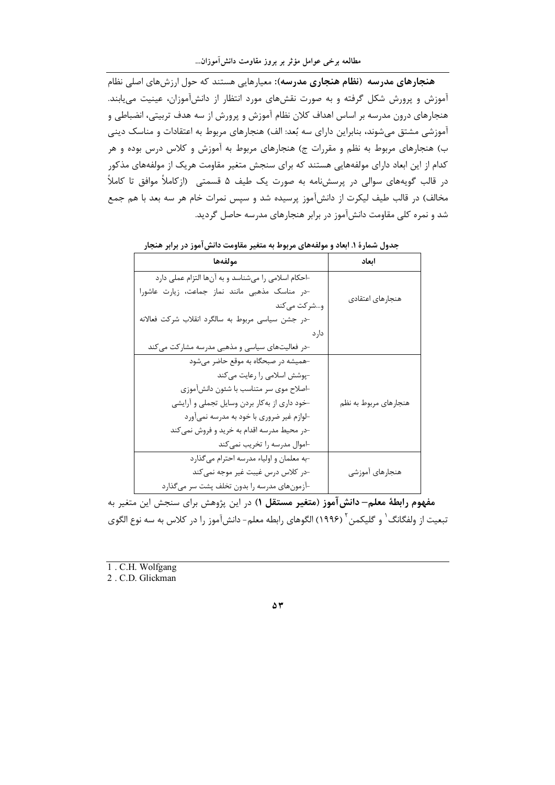هنجارهای مدرسه (نظام هنجاری مدرسه): معیارهایی هستند که حول ارزشهای اصلی نظام آموزش و پرورش شکل گرفته و به صورت نقشهای مورد انتظار از دانشآموزان، عینیت می یابند. هنجارهای درون مدرسه بر اساس اهداف کلان نظام آموزش و پرورش از سه هدف تربیتی، انضباطی و آموزشی مشتق میشوند، بنابراین دارای سه بُعد: الف) هنجارهای مربوط به اعتقادات و مناسک دینی ب) هنجارهای مربوط به نظم و مقررات ج) هنجارهای مربوط به آموزش و کلاس درس بوده و هر کدام از این ابعاد دارای مولفههایی هستند که برای سنجش متغیر مقاومت هریک از مولفههای مذکور در قالب گویههای سوالی در پرسشنامه به صورت یک طیف ۵ قسمتی۔(ازکاملاً موافق تا کاملاً مخالف) در قالب طیف لیکرت از دانشآموز پرسیده شد و سپس نمرات خام هر سه بعد با هم جمع شد و نمره کلی مقاومت دانشآموز در برابر هنجارهای مدرسه حاصل گردید.

| مولفهها                                            | ابعاد                 |
|----------------------------------------------------|-----------------------|
| ⊣حکام اسلامی را میشناسد و به آنها التزام عملی دارد |                       |
| -در مناسک مذهبی مانند نماز جماعت، زیارت عاشورا     | هنجارهاى اعتقادى      |
| و…شر کت می کند                                     |                       |
| -در جشن سیاسی مربوط به سالگرد انقلاب شرکت فعالانه  |                       |
| دار د                                              |                       |
| -در فعالیتهای سیاسی و مذهبی مدرسه مشارکت میکند     |                       |
| -همیشه در صبحگاه به موقع حاضر میشود                |                       |
| -پوشش اسلامی را رعایت می کند                       |                       |
| اصلاح موي سر متناسب با شئون دانشآموزي              |                       |
| خود داری از به کار بردن وسایل تجملی و آرایشی       | هنجارهای مربوط به نظم |
| -لوازم غیر ضروری با خود به مدرسه نمیآورد           |                       |
| -در محیط مدرسه اقدام به خرید و فروش نمی کند        |                       |
| ⊣موال مدرسه را تخريب نمي كند                       |                       |
| -به معلمان و اولیاء مدرسه احترام میگذارد           |                       |
| -در كلاس درس غيبت غير موجه نمي كند                 | هنجارهای آموزشی       |
| -آزمونهای مدرسه را بدون تخلف پشت سر میگذارد        |                       |

جدول شمارهٔ ۱. ابعاد و مولفههای مربوط به متغیر مقاومت دانش آموز در برابر هنجار

مفهوم رابطهٔ معلم– دانش آموز (متغیر مستقل ۱) در این پژوهش برای سنجش این متغیر به تبعیت از ولفگانگ <sup>۱</sup> و گلیکمن <sup>۲</sup> (۱۹۹۶) الگوهای رابطه معلم– دانش آموز را در کلاس به سه نوع الگوی

1. C.H. Wolfgang

2. C.D. Glickman

 $\Delta \Upsilon$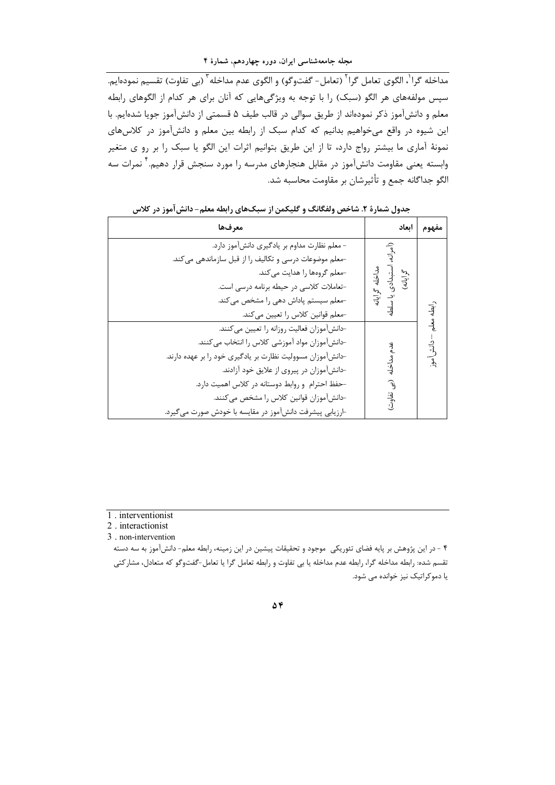مداخله گرا<sup>י</sup>، الگوی تعامل گرا<sup>۲</sup> (تعامل- گفتوگو) و الگوی عدم مداخله <sup>۳</sup> (بی تفاوت) تقسیم نمودهایم. سپس مولفههای هر الگو (سبک) را با توجه به ویژگیهایی که آنان برای هر کدام از الگوهای رابطه معلم و دانشآموز ذکر نمودهاند از طریق سوالی در قالب طیف ۵ قسمتی از دانشآموز جویا شدهایم. با این شیوه در واقع میخواهیم بدانیم که کدام سبک از رابطه بین معلم و دانشآموز در کلاسهای نمونهٔ آماری ما بیشتر رواج دارد، تا از این طریق بتوانیم اثرات این الگو یا سبک را بر رو ی متغیر وابسته یعنی مقاومت دانشآموز در مقابل هنجارهای مدرسه را مورد سنجش قرار دهیم. <sup>۲</sup> نمرات سه الگو جداگانه جمع و تأثیرشان بر مقاومت محاسبه شد.

| معرفها                                                                                                                                                                                                                                                                                                                                                             | اىعاد                                          | مفهوم       |
|--------------------------------------------------------------------------------------------------------------------------------------------------------------------------------------------------------------------------------------------------------------------------------------------------------------------------------------------------------------------|------------------------------------------------|-------------|
| - معلم نظارت مداوم بر يادگيري دانشآموز دارد.<br>-معلم موضوعات درسی و تکالیف را از قبل سازماندهی میکند.<br>-معلم گروهها را هدایت می کند.<br>-تعاملات كلاسي در حيطه برنامه درسي است.<br>-معلم سیستم پاداش دهی را مشخص می کند.<br>-معلم قوانین کلاس را تعیین میکند.                                                                                                   | سمع<br>رايانه)<br>خله گرایانه<br>بدادی یا سلطه | ِ<br>لِهِ   |
| حانش آموزان فعاليت روزانه را تعيين مي كنند.<br>-دانشآموزان مواد آموزشي كلاس را انتخاب مي كنند.<br>-دانشآموزان مسوولیت نظارت بر یادگیری خود را بر عهده دارند.<br>-دانشآموزان در پیروی از علایق خود آزادند.<br>حفظ احترام و روابط دوستانه در كلاس اهميت دارد.<br>-دانشآموزان قوانین کلاس را مشخص می کنند.<br>−ارزیابی پیشرفت دانشآموز در مقایسه با خودش صورت میگیرد. | مداخله<br>્રિ<br>تفاوت)                        | – دانش آموز |

جدول شمارهٔ ۲. شاخص ولفگانگ و گلیکمن از سبکهای رابطه معلم- دانش آموز در کلاس

- 2 . interactionist
- 3 . non-intervention

 $\Delta \hat{Y}$ 

<sup>1 .</sup> interventionist

۴ - در این پژوهش بر پایه فضای تئوریکی ًموجود و تحقیقات پیشین در این زمینه، رابطه معلم- دانشآموز به سه دسته تقسم شده: رابطه مداخله گرا، رابطه عدم مداخله یا بی تفاوت و رابطه تعامل گرا یا تعامل-گفتوگو که متعادل، مشارکتی یا دموکراتیک نیز خوانده می شود.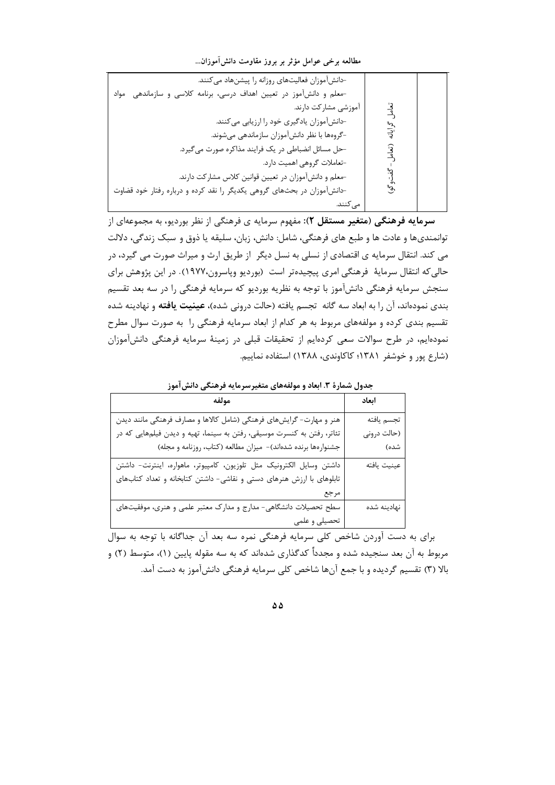مطالعه برخی عوامل مؤثر بر بروز مقاومت دانش آموزان...

| -دانشآموزان فعالیتهای روزانه را پیشنهاد میکنند.                         |                |  |
|-------------------------------------------------------------------------|----------------|--|
| -معلم و دانشآموز در تعیین اهداف درسی، برنامه کلاسی و سازماندهی مواد     |                |  |
| آموزشی مشارکت دارند.                                                    | <u>د:</u><br>گ |  |
| -دانشآموزان یادگیری خود را ارزیابی میکنند.                              |                |  |
| -گروهها با نظر دانشآموزان سازماندهی میشوند.                             | ایاته          |  |
| حل مسائل انضباطي در يک فرايند مذاكره صورت مي گيرد.                      |                |  |
| -تعاملات گروهی اهمیت دارد.                                              |                |  |
| -معلم و دانشآموزان در تعیین قوانین کلاس مشارکت دارند.                   |                |  |
| -دانشآموزان در بحثهای گروهی یکدیگر را نقد کرده و درباره رفتار خود قضاوت | જી             |  |
| مى كنند.                                                                |                |  |

سرمایه فرهنگی (متغیر مستقل ۲): مفهوم سرمایه ی فرهنگی از نظر بوردیو، به مجموعهای از توانمندیها و عادت ها و طبع های فرهنگی، شامل: دانش، زبان، سلیقه یا ذوق و سبک زندگی، دلالت می کند. انتقال سرمایه ی اقتصادی از نسلی به نسل دیگر از طریق ارث و میراث صورت می گیرد، در حالي كه انتقال سرمايهٔ فرهنگي امري پيچيدهتر است (بورديو وپاسرون،١٩٧٧). در اين پژوهش براي سنجش سرمایه فرهنگی دانشآموز با توجه به نظریه بوردیو که سرمایه فرهنگی را در سه بعد تقسیم بندی نمودهاند، آن را به ابعاد سه گانه تجسم یافته (حالت درونی شده)، **عینیت یافته** و نهادینه شده تقسیم بندی کرده و مولفههای مربوط به هر کدام از ابعاد سرمایه فرهنگی را به صورت سوال مطرح نمودهایم، در طرح سوالات سعی کردهایم از تحقیقات قبلی در زمینهٔ سرمایه فرهنگی دانشآموزان (شارع پور و خوشفر ۱۳۸۱؛ کاکاوندی، ۱۳۸۸) استفاده نماییم.

جدول شمارهٔ ۳. ابعاد و مولفههای متغیرسرمایه فرهنگی دانشآموز

| مولفه                                                                  | ابعاد       |
|------------------------------------------------------------------------|-------------|
| هنر و مهارت- گرایشهای فرهنگی (شامل کالاها و مصارف فرهنگی مانند دیدن    | تجسم يافته  |
| تئاتر، رفتن به کنسرت موسیقی، رفتن به سینما، تهیه و دیدن فیلمهایی که در | (حالت دروني |
| جشنوارهها برنده شدهاند)- میزان مطالعه (کتاب، روزنامه و مجله)           | شده)        |
| داشتن وسایل الکترونیک مثل تلوزیون، کامپیوتر، ماهواره، اینترنت- داشتن   | عينيت يافته |
| تابلوهای با ارزش هنرهای دستی و نقاشی- داشتن کتابخانه و تعداد کتابهای   |             |
| مرجع                                                                   |             |
| سطح تحصیلات دانشگاهی- مدارج و مدارک معتبر علمی و هنری، موفقیتهای       | نهادينه شده |
| تحصیلی و علمی                                                          |             |

برای به دست آوردن شاخص کلی سرمایه فرهنگی نمره سه بعد آن جداگانه با توجه به سوال مربوط به آن بعد سنجیده شده و مجدداً کدگذاری شدهاند که به سه مقوله پایین (۱)، متوسط (۲) و بالا (٣) تقسیم گردیده و با جمع آنها شاخص کلی سرمایه فرهنگی دانشآموز به دست آمد.

 $\Delta \Delta$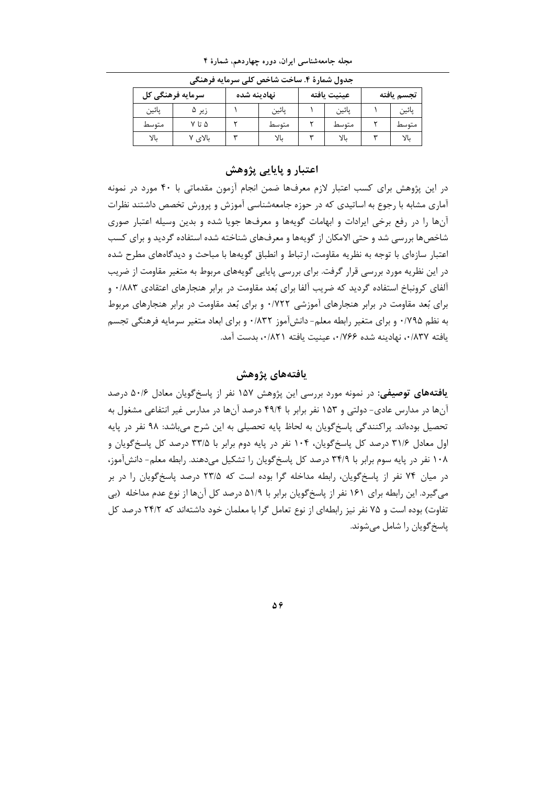| --- - -          |         |    |                            |    |       |  |            |
|------------------|---------|----|----------------------------|----|-------|--|------------|
| سرمايه فرهنگي كل |         |    | عينيت يافته<br>نهادينه شده |    |       |  | تجسم يافته |
| يائين            | زیر ۵   |    | يائين                      |    | يائين |  | يائين      |
| متوسط            | ۵ تا ۷  |    | متوسط                      |    | متوسط |  | متوسط      |
| YL               | بالای ۷ | ىپ | بالا                       | سه |       |  |            |

مجله جامعهشناسی ایران، دوره چهاردهم، شمارهٔ ۴ حدول شوارۂ ۴ ساخت شاخص کا بسیواله فرهنگ

### اعتبار و پایایی پژوهش

در این پژوهش برای کسب اعتبار لازم معرفها ضمن انجام آزمون مقدماتی با ۴۰ مورد در نمونه آماری مشابه با رجوع به اساتیدی که در حوزه جامعهشناسی آموزش و پرورش تخصص داشتند نظرات آنها را در رفع برخی ایرادات و ابهامات گویهها و معرفها جویا شده و بدین وسیله اعتبار صوری شاخصها بررسی شد و حتی الامکان از گویهها و معرفهای شناخته شده استفاده گردید و برای کسب اعتبار سازهای با توجه به نظریه مقاومت، ارتباط و انطباق گویهها با مباحث و دیدگاههای مطرح شده در این نظریه مورد بررسی قرار گرفت. برای بررسی پایایی گویههای مربوط به متغیر مقاومت از ضریب آلفای کرونباخ استفاده گردید که ضریب آلفا برای بُعد مقاومت در برابر هنجارهای اعتقادی ۰/۸۸۳ و برای بُعد مقاومت در برابر هنجارهای آموزشی ۰/۷۲۲ و برای بُعد مقاومت در برابر هنجارهای مربوط به نظم ۱۷۹۵۰ و برای متغیر رابطه معلم- دانش آموز ۱۸۳۲۰ و برای ابعاد متغیر سرمایه فرهنگی تجسم يافته ٠/٨٣٧، نهادينه شده ٠/٧۶۶، عينيت يافته ٠/٨٢١، بدست آمد.

# يافتەهاي يژوهش

**یافتههای توصیفی:** در نمونه مورد بررسی این پژوهش ۱۵۷ نفر از پاسخگویان معادل ۵۰/۶ درصد آنها در مدارس عادی- دولتی و ۱۵۳ نفر برابر با ۴۹/۴ درصد آنها در مدارس غیر انتفاعی مشغول به تحصیل بودهاند. پراکنندگی پاسخگویان به لحاظ پایه تحصیلی به این شرح میباشد: ۹۸ نفر در پایه اول معادل ۳۱/۶ درصد کل پاسخگویان، ۱۰۴ نفر در پایه دوم برابر با ۳۳/۵ درصد کل پاسخگویان و ۱۰۸ نفر در پایه سوم برابر با ۳۴/۹ درصد کل پاسخ گویان را تشکیل میدهند. رابطه معلم- دانشآموز، در میان ۷۴ نفر از پاسخ گویان، رابطه مداخله گرا بوده است که ۲۳/۵ درصد پاسخ گویان را در بر می گیرد. این رابطه برای ۱۶۱ نفر از پاسخ گویان برابر با ۵۱/۹ درصد کل آنها از نوع عدم مداخله (بی تفاوت) بوده است و ۷۵ نفر نیز ,ابطهای از نوع تعامل گرا با معلمان خود داشتهاند که ۲۴/۲ درصد کل یاسخ گویان را شامل می شوند.

 $\Delta \hat{r}$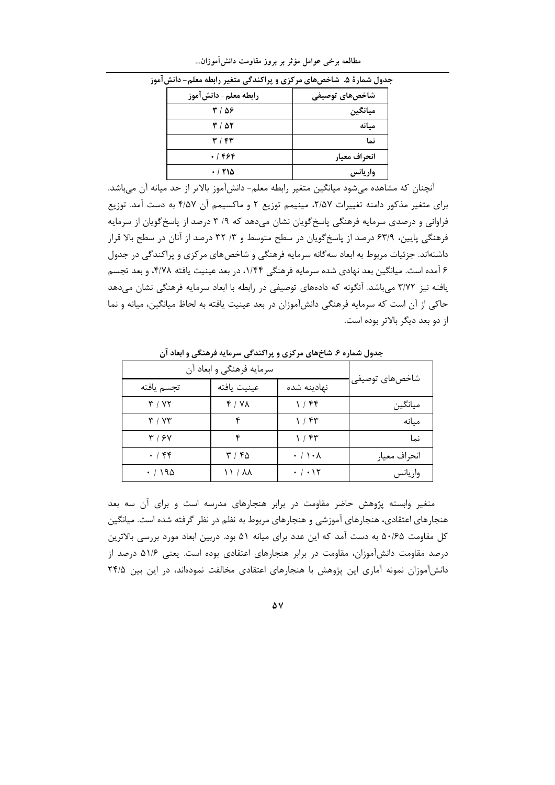| رابطه معلم- دانش آموز | شاخصهای توصیفی |
|-----------------------|----------------|
| ۳۱۵۶                  | ميانگين        |
| ۲۱ ۵۲                 | مىانە          |
| ۳ / ۴۳                | نما            |
| $.1$ ۴۶۴              | انحراف معيار   |
| .710                  | واريانس        |

مطالعه برخی عوامل مؤثر بر بروز مقاومت دانش آموزان...

.<br>جدول شمارهٔ ۵. شاخصهای مرکزی و پراکندگی متغیر رابطه معلم- دانش آموز

آنچنان که مشاهده میشود میانگین متغیر رابطه معلم- دانشآموز بالاتر از حد میانه آن میباشد. برای متغیر مذکور دامنه تغییرات ۲/۵۷، مینیمم توزیع ۲ و ماکسیمم آن ۴/۵۷ به دست آمد. توزیع فراوانی و درصدی سرمایه فرهنگی پاسخ گویان نشان میدهد که ۹/ ۳ درصد از پاسخ گویان از سرمایه فرهنگی پایین، ۶۳/۹ درصد از پاسخگویان در سطح متوسط و ۳/ ۳۲ درصد از آنان در سطح بالا قرار داشتهاند. جزئیات مربوط به ابعاد سه گانه سرمایه فرهنگی و شاخصهای مرکزی و پراکندگی در جدول ۶ آمده است. میانگین بعد نهادی شده سرمایه فرهنگی ۱/۴۴، در بعد عینیت یافته ۴/۷۸، و بعد تجسم یافته نیز ۳/۷۲ میباشد. آنگونه که دادههای توصیفی در رابطه با ابعاد سرمایه فرهنگی نشان میدهد حاکی از آن است که سرمایه فرهنگی دانشآموزان در بعد عینیت یافته به لحاظ میانگین، میانه و نما از دو بعد دیگر بالاتر بوده است.

|                 | سرمایه فرهنگی و ابعاد آن               |             |                                |  |  |
|-----------------|----------------------------------------|-------------|--------------------------------|--|--|
| شاخصهای توصیفی' | نهادینه شده                            | عينيت يافته | تجسم يافته                     |  |  |
| ميانگين         | ۲ / ۴۴                                 | 4 / YX      | ۳ / ۷۲                         |  |  |
| مىانە           | ۲۲ / ۱                                 |             | $\mathbf{r} \wedge \mathbf{v}$ |  |  |
| نما             | $1/\sqrt{5}$                           |             | $\mathbf{y} \mid \mathbf{y}$   |  |  |
| انحراف معيار    | $\cdot$ / $\setminus$ $\cdot$ $\wedge$ | ۳۱۴۵        | .75                            |  |  |
| واريانس         | $\cdot$ / $\cdot$ \ $\Upsilon$         | ነ ነ / አለ    | $\cdot$ / 195                  |  |  |

جدول شماره ۶. شاخهای مرکزی و پراکندگی سرمایه فرهنگی و ایعاد آن

متغیر وابسته پژوهش حاضر مقاومت در برابر هنجارهای مدرسه است و برای آن سه بعد هنجارهای اعتقادی، هنجارهای آموزشی و هنجارهای مربوط به نظم در نظر گرفته شده است. میانگین کل مقاومت ۵۰/۶۵ به دست آمد که این عدد برای میانه ۵۱ بود. دربین ابعاد مورد بررسی بالاترین درصد مقاومت دانشآموزان، مقاومت در برابر هنجارهای اعتقادی بوده است. یعنی ۵۱/۶ درصد از دانشآموزان نمونه آماری این پژوهش با هنجارهای اعتقادی مخالفت نمودهاند، در این بین ۲۴/۵

۵V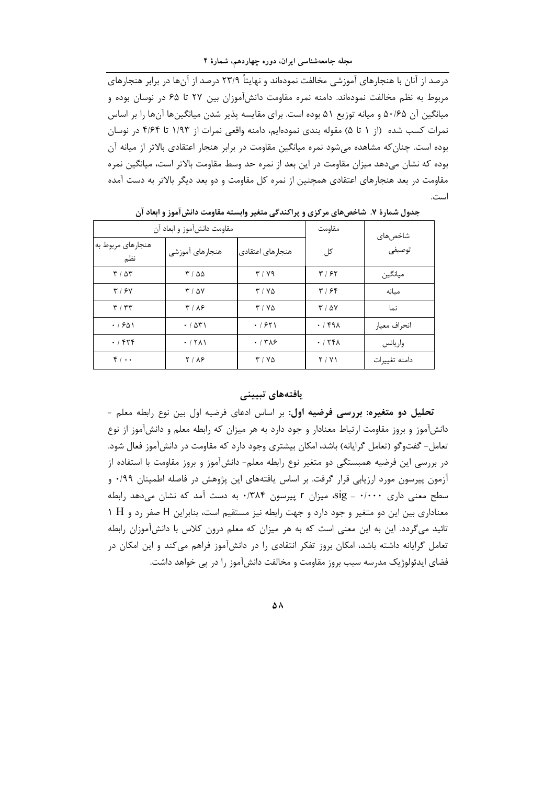مجله جامعهشناسی ایران، دوره چهاردهم، شمارهٔ ۴

 $\overline{C}$ درصد از آنان با هنجارهای آموزشی مخالفت نمودهاند و نهایتاً ۲۳/۹ درصد از آنها در برابر هنجارهای مربوط به نظم مخالفت نمودهاند. دامنه نمره مقاومت دانشآموزان بین ۲۷ تا ۶۵ در نوسان بوده و میانگین آن ۵۰/۶۵ و میانه توزیع ۵۱ بوده است. برای مقایسه پذیر شدن میانگینها آنها را بر اساس نمرات كسب شده (از ١ تا ۵) مقوله بندى نمودهايم، دامنه واقعى نمرات از ١/٩٣ تا ۴/۶۴ در نوسان بوده است. چنان که مشاهده می شود نمره میانگین مقاومت در برابر هنجار اعتقادی بالاتر از میانه آن بوده که نشان میدهد میزان مقاومت در این بعد از نمره حد وسط مقاومت بالاتر است، میانگین نمره مقاومت در بعد هنجارهای اعتقادی همچنین از نمره کل مقاومت و دو بعد دیگر بالاتر به دست آمده است.

|                                         | مقاومت دانشآموز و ابعاد آن | مقاومت           | شاخص های       |               |
|-----------------------------------------|----------------------------|------------------|----------------|---------------|
| هنجارهای مربوط به<br>نظم                | هنجارهای آموزشی            | هنجارهای اعتقادی | کل             | توصيفي        |
| 7707                                    | ۲۱۵۵                       | T/Y9             | ۳۱۶۲           | ميانگين       |
| $\mathbf{r}$ / $\mathbf{r}$             | $T / \Delta V$             | $T/N\Delta$      | 4198           | مىانە         |
| $\mathbf{r} \mid \mathbf{r} \mathbf{r}$ | T/N                        | $T/N\Delta$      | $T / \Delta V$ | نما           |
| .7801                                   | .7071                      | .751             | .791           | انحراف معيار  |
| .755                                    | .711                       | .778             | .751           | واريانس       |
| $f \cdot \cdot$                         | 7 / AF                     | $T/Y\Delta$      | Y/Y            | دامنه تغييرات |

جدول شمارهٔ ۷. شاخصهای مرکزی و پراکندگی متغیر وابسته مقاومت دانش آموز و ابعاد آن

## يافتەھاي تبيين*ي*

تحلیل دو متغیره: بررسی فرضیه اول: بر اساس ادعای فرضیه اول بین نوع رابطه معلم -دانشآموز و بروز مقاومت ارتباط معنادار و جود دارد به هر میزان که رابطه معلم و دانشآموز از نوع تعامل- گفتوگو (تعامل گرایانه) باشد، امکان بیشتری وجود دارد که مقاومت در دانشآموز فعال شود. در بررسی این فرضیه همبستگی دو متغیر نوع رابطه معلم− دانشآموز و بروز مقاومت با استفاده از آزمون پیرسون مورد ارزیابی قرار گرفت. بر اساس یافتههای این پژوهش در فاصله اطمینان ۰/۹۹ و سطح معنی داری ۰/۰۰۰ =  $\text{sig}_i$ ، میزان ۲ پیرسون ۱۳۸۴۰ به دست آمد که نشان می $\text{cis}_i$  داری 1 H معناداری بین این دو متغیر و جود دارد و جهت رابطه نیز مستقیم است، بنابراین H صفر رد و تائید میگردد. این به این معنی است که به هر میزان که معلم درون کلاس با دانشآموزان رابطه تعامل گرایانه داشته باشد، امکان بروز تفکر انتقادی را در دانشآموز فراهم م*ی ک*ند و این امکان در فضای ایدئولوژیک مدرسه سبب بروز مقاومت و مخالفت دانشآموز را در پی خواهد داشت.

#### **Δ**λ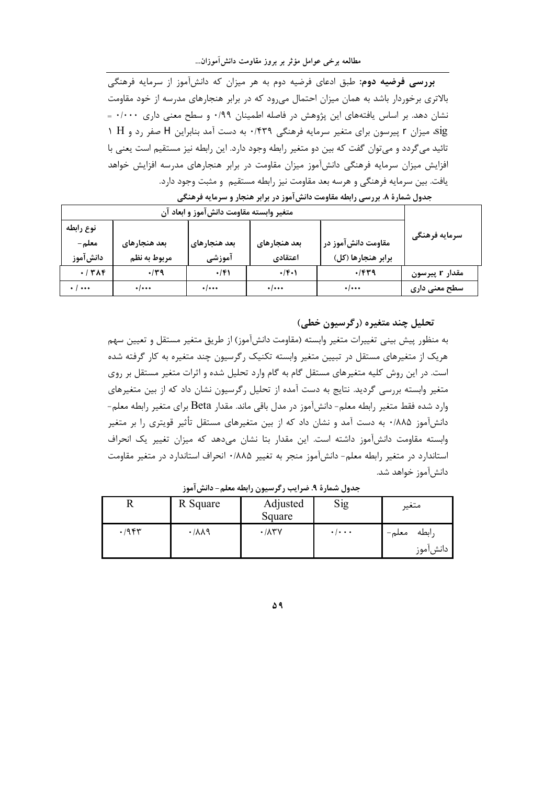**بررسی فرضیه دوم**: طبق ادعای فرضیه دوم به هر میزان که دانشآموز از سرمایه فرهنگی بالاتری برخوردار باشد به همان میزان احتمال می ود که در برابر هنجارهای مدرسه از خود مقاومت نشان دهد. بر اساس یافتههای این پژوهش در فاصله اطمینان ۰/۹۹ و سطح معنی داری ۰/۰۰۰ = sig، میزان r پیرسون برای متغیر سرمایه فرهنگی ۰/۴۳۹ به دست آمد بنابراین H صفر رد و H ۱ تائید می گردد و می توان گفت که بین دو متغیر رابطه وجود دارد. این رابطه نیز مستقیم است یعنی با افزایش میزان سرمایه فرهنگی دانشآموز میزان مقاومت در برابر هنجارهای مدرسه افزایش خواهد يافت. بين سرمايه فرهنگي و هرسه بعد مقاومت نيز رابطه مستقيم و مثبت وجود دارد.

| متغیر وابسته مقاومت دانشآموز و ابعاد آن |                              |                        |                         |                                          |                |
|-----------------------------------------|------------------------------|------------------------|-------------------------|------------------------------------------|----------------|
| نوع رابطه<br>معلم –<br>دانشآموز         | بعد هنجارهای<br>مربوط به نظم | بعد هنجارهای<br>آموزشی | بعد هنجارهای<br>اعتقادي | مقاومت دانشآموز در<br>برابر هنجارها (كل) | سرمايه فرهنگى  |
| $+1$ $\uparrow$ $\uparrow$ $\uparrow$   | $\cdot$ /۳۹                  | $\cdot$ /۴۱            | $\cdot$ /۴۰۱            | $\cdot$ /۴۳۹                             | مقدار r پیرسون |
| $\cdot$ / $\cdots$                      | $\cdot$ / $\cdots$           | $\cdot$ / $\cdots$     | $\cdot$ / $\cdots$      | $\cdot$ / $\cdots$                       | سطح معنی داری  |

جدول شمارهٔ ۸. بررسی رابطه مقاومت دانشآموز در برابر هنجار و سرمایه فرهنگی

## تحليل چند متغيره (رگرسيون خطي)

به منظور پیش بینی تغییرات متغیر وابسته (مقاومت دانشآموز) از طریق متغیر مستقل و تعیین سهم هریک از متغیرهای مستقل در تبیین متغیر وابسته تکنیک رگرسیون چند متغیره به کار گرفته شده است. در این روش کلیه متغیرهای مستقل گام به گام وارد تحلیل شده و اثرات متغیر مستقل بر روی متغیر وابسته بررسی گردید. نتایج به دست آمده از تحلیل رگرسیون نشان داد که از بین متغیرهای وارد شده فقط متغیر رابطه معلم- دانشآموز در مدل باقی ماند. مقدار Beta برای متغیر رابطه معلم-دانشآموز ۰/۸۸۵ به دست آمد و نشان داد که از بین متغیرهای مستقل تأثیر قویتری را بر متغیر وابسته مقاومت دانشآموز داشته است. این مقدار بتا نشان میدهد که میزان تغییر یک انحراف استاندارد در متغیر رابطه معلم- دانش آموز منجر به تغییر ۱٬۸۸۵ انحراف استاندارد در متغیر مقاومت دانشآموز خواهد شد.

|      | R Square            | Adjusted<br>Square          | Sig                 | متغير                      |
|------|---------------------|-----------------------------|---------------------|----------------------------|
| .798 | $\cdot$ / $\lambda$ | $\cdot$ / $\wedge$ ۳ $\vee$ | $\cdot$ / $\cdot$ . | رابطه<br>معلم–<br>دانش موز |

جدول شمارة ٩. ضرايب رگرسيون رابطه معلم- دانش آموز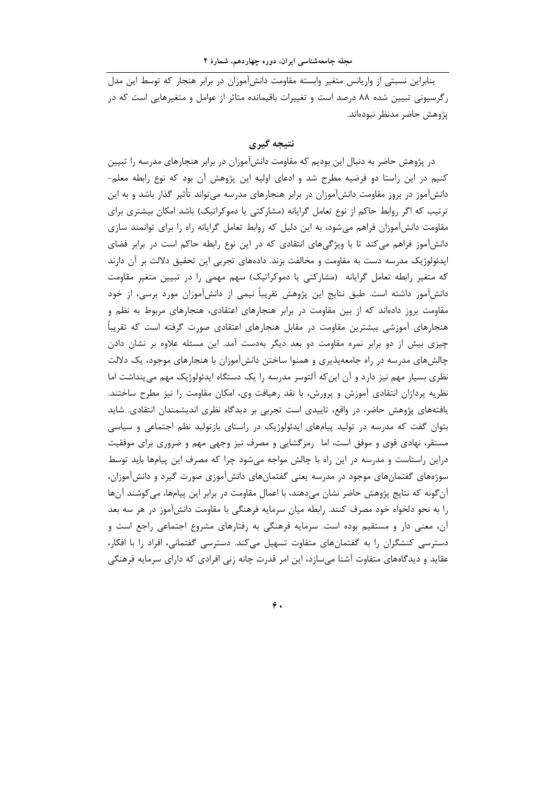بنابراین نسبتی از واریانس متغیر وابسته مقاومت دانش آموزان در برابر هنجار که توسط این مدل رگرسیونی تبیین شده ۸۸ درصد است و تغییرات باقیمانده متاثر از عوامل و متغیرهایی است که در يژوهش حاضر مدنظر نبودهاند.

## نتىجە گىرى

در پژوهش حاضر به دنبال این بودیم که مقاومت دانشآموزان در برابر هنجارهای مدرسه را تبیین کنیم در این راستا دو فرضیه مطرح شد و ادعای اولیه این پژوهش آن بود که نوع رابطه معلم-دانشآموز در بروز مقاومت دانشآموزان در برابر هنجارهای مدرسه می¤واند تأثیر گذار باشد و به این ترتیب که اگر روابط حاکم از نوع تعامل گرایانه (مشارکتی یا دموکراتیک) باشد امکان بیشتری برای مقاومت دانشآموزان فراهم میشود، به این دلیل که روابط تعامل گرایانه راه را برای توانمند سازی دانشآموز فراهم می کند تا با ویژگیهای انتقادی که در این نوع رابطه حاکم است در برابر فضای ایدئولوژیک مدرسه دست به مقاومت و مخالفت بزند. دادههای تجربی این تحقیق دلالت بر آن دارند که متغیر رابطه تعامل گرایانه (مشارکتی یا دموکراتیک) سهم مهمی را در تبیین متغیر مقاومت دانشآموز داشته است. طبق نتایج این پژوهش تقریباً نیمی از دانشآموزان مورد برسی، از خود مقاومت بروز دادهاند که از بین مقاومت در برابر هنجارهای اعتقادی، هنجارهای مربوط به نظم و هنجارهای اًموزشی بیشترین مقاومت در مقابل هنجارهای اعتقادی صورت گرفته است که تقریباً چیزی بیش از دو برابر نمره مقاومت دو بعد دیگر بهدست آمد. این مسئله علاوه بر نشان دادن چالشهای مدرسه در راه جامعهپذیری و همنوا ساختن دانشآموزان با هنجارهای موجود، یک دلالت نظری بسیار مهم نیز دارد و آن این که آلتوسر مدرسه را یک دستگاه ایدئولوژیک مهم می پنداشت اما نظریه پردازان انتقادی آموزش و پرورش، با نقد رهیافت وی، امکان مقاومت را نیز مطرح ساختند. یافتههای پژوهش حاضر، در واقع، تاییدی است تجربی بر دیدگاه نظری اندیشمندان انتقادی. شاید بتوان گفت که مدرسه در تولید پیامهای ایدئولوژیک در راستای بازتولید نظم اجتماعی و سیاسی مستقر، نهادی قوی و موفق است، اما رمزگشایی و مصرف نیز وجهی مهم و ضروری برای موفقیت دراین راستاست و مدرسه در این راه با چالش مواجه میشود چرا که مصرف این پیامها باید توسط سوژههای گفتمانهای موجود در مدرسه یعنی گفتمانهای دانشآموزی صورت گیرد و دانشآموزان، آن گونه که نتایج پژوهش حاضر نشان میدهند، با اعمال مقاومت در برابر این پیامها، میکوشند آنها را به نحو دلخواه خود مصرف کنند. رابطه میان سرمایه فرهنگی با مقاومت دانشآموز در هر سه بعد آن، معنی دار و مستقیم بوده است. سرمایه فرهنگی به رفتارهای مشروع اجتماعی راجع است و دسترسی کنشگران را به گفتمانهای متفاوت تسهیل میکند. دسترسی گفتمانی، افراد را با افکار، عقاید و دیدگاههای متفاوت آشنا میسازد، این امر قدرت چانه زنی افرادی که دارای سرمایه فرهنگی

 $\hat{\mathbf{z}}$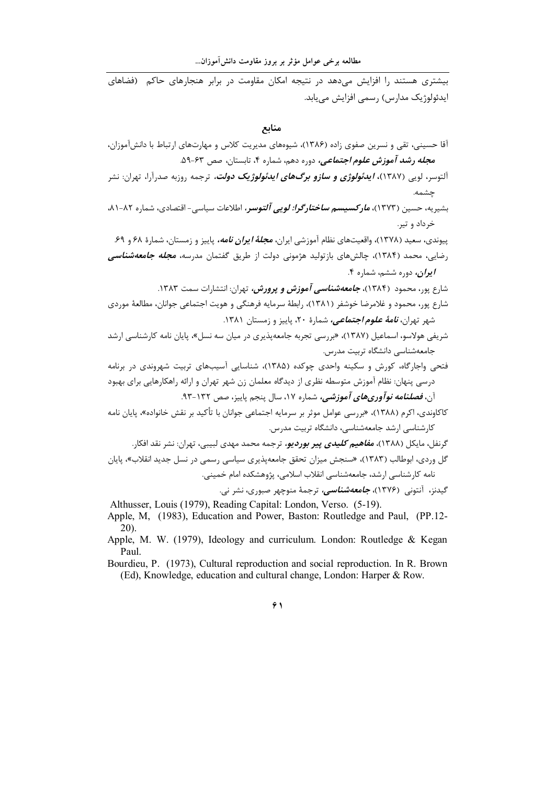.<br>سشتری هستند را افزایش می دهد در نتیجه امکان مقاومت در برابر هنجارهای حاکم (فضاهای ايدئولوژيک مدارس) رسمي افزايش مي يابد.

منابع

- آقا حسینی، تقی و نسرین صفوی زاده (۱۳۸۶)، شیوههای مدیریت کلاس و مهارتهای ارتباط با دانشآموزان، م*جله رشد آموزش علوم اجتماعی،* دوره دهم، شماره ۴، تابستان، صص ۶۳-۵۹.
- آلتوسر، لویی (۱۳۸۷)، *ایدئولوژی و سازو برگهای ایدئولوژیک دولت،* ترجمه روزبه صدرآرا، تهران: نشر چشمه.
- بشیریه، حسین (۱۳۷۳)، *مارکسیسم ساختارگرا: لویی آلتوسر،* اطلاعات سیاسی- اقتصادی، شماره ۸۲-۸۱. خرداد و تير.

پیوندی، سعید (۱۳۷۸)، واقعیتهای نظام آموزشی ایران، *مجلهٔ ایران نامه،* پاییز و زمستان، شمارهٔ ۶۸ و ۶۹. رضایی، محمد (۱۳۸۴)، چالشهای بازتولید هژمونی دولت از طریق گفتمان مدرسه، *مجله جامعهشناسی* ابران، دوره ششم، شماره ۴.

- شارع یور، محمود (۱۳۸۴)، *جامعهشناسی آموزش و پرورش،* تهران: انتشارات سمت ۱۳۸۳.
- شارع پور، محمود و غلامرضا خوشفر (۱۳۸۱)، رابطهٔ سرمایه فرهنگی و هویت اجتماعی جوانان، مطالعهٔ موردی شهر تهران، *نامهٔ علوم اجتماعی،* شمارهٔ ۲۰، پاییز و زمستان ۱۳۸۱.
- شریفی هولاسو، اسماعیل (۱۳۸۷)، «بررسی تجربه جامعهپذیری در میان سه نسل»، پایان نامه کارشناسی ارشد جامعەشناسى دانشگاە تربيت مدرس.
- .<br>فتحی واجارگاه، کورش و سکینه واحدی چوکده (۱۳۸۵)، شناسایی آسیبهای تربیت شهروندی در برنامه درسی پنهان: نظام آموزش متوسطه نظری از دیدگاه معلمان زن شهر تهران و ارائه راهکارهایی برای بهبود آن، *فصلنامه نوآوریهای آموزشی،* شماره ۱۷، سال پنجم پاییز، صص ۱۳۲-۹۳.
- کاکاوندی، اکرم (۱۳۸۸)، «بررسی عوامل موثر بر سرمایه اجتماعی جوانان با تأکید بر نقش خانواده»، پایان نامه کارشناسی ارشد جامعهشناسی، دانشگاه تربیت مدرس.
	- گرنفل، مایکل (۱۳۸۸)، *مفاهیم کلیدی پیر بوردیو،* ترجمه محمد مهدی لبیبی، تهران: نشر نقد افکار.

گل وردی، ابوطالب (۱۳۸۳)، «سنجش میزان تحقق جامعهپذیری سیاسی رسمی در نسل جدید انقلاب»، پایان نامه كارشناسي ارشد، جامعهشناسي انقلاب اسلامي، پژوهشكده امام خميني.

گیدنز، آنتونی (۱۳۷۶)، *جامعهشناسی،* ترجمهٔ منوچهر صبوری، نشر نی.

- Althusser, Louis (1979), Reading Capital: London, Verso. (5-19). Apple, M. (1983), Education and Power, Baston: Routledge and Paul, (PP.12- $(20)$ .
- Apple, M. W. (1979), Ideology and curriculum. London: Routledge & Kegan Paul.
- Bourdieu, P. (1973), Cultural reproduction and social reproduction. In R. Brown (Ed), Knowledge, education and cultural change, London: Harper & Row.